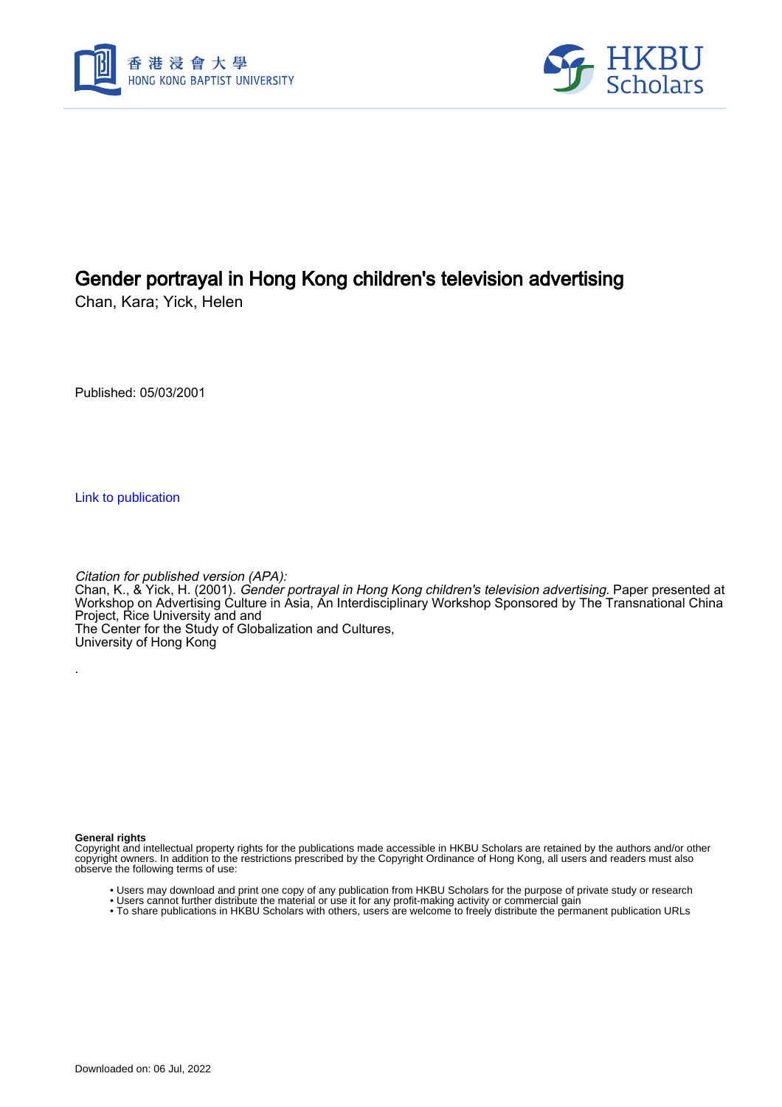



# Gender portrayal in Hong Kong children's television advertising

Chan, Kara; Yick, Helen

Published: 05/03/2001

[Link to publication](https://scholars.hkbu.edu.hk/en/publications/d5d79388-f46a-4892-88f1-1c5d0f5184cb)

Citation for published version (APA):

Chan, K., & Yick, H. (2001). *Gender portrayal in Hong Kong children's television advertising*. Paper presented at Workshop on Advertising Culture in Asia, An Interdisciplinary Workshop Sponsored by The Transnational China Project, Rice University and and The Center for the Study of Globalization and Cultures,

University of Hong Kong

**General rights**

.

Copyright and intellectual property rights for the publications made accessible in HKBU Scholars are retained by the authors and/or other copyright owners. In addition to the restrictions prescribed by the Copyright Ordinance of Hong Kong, all users and readers must also observe the following terms of use:

- Users may download and print one copy of any publication from HKBU Scholars for the purpose of private study or research
- Users cannot further distribute the material or use it for any profit-making activity or commercial gain
- To share publications in HKBU Scholars with others, users are welcome to freely distribute the permanent publication URLs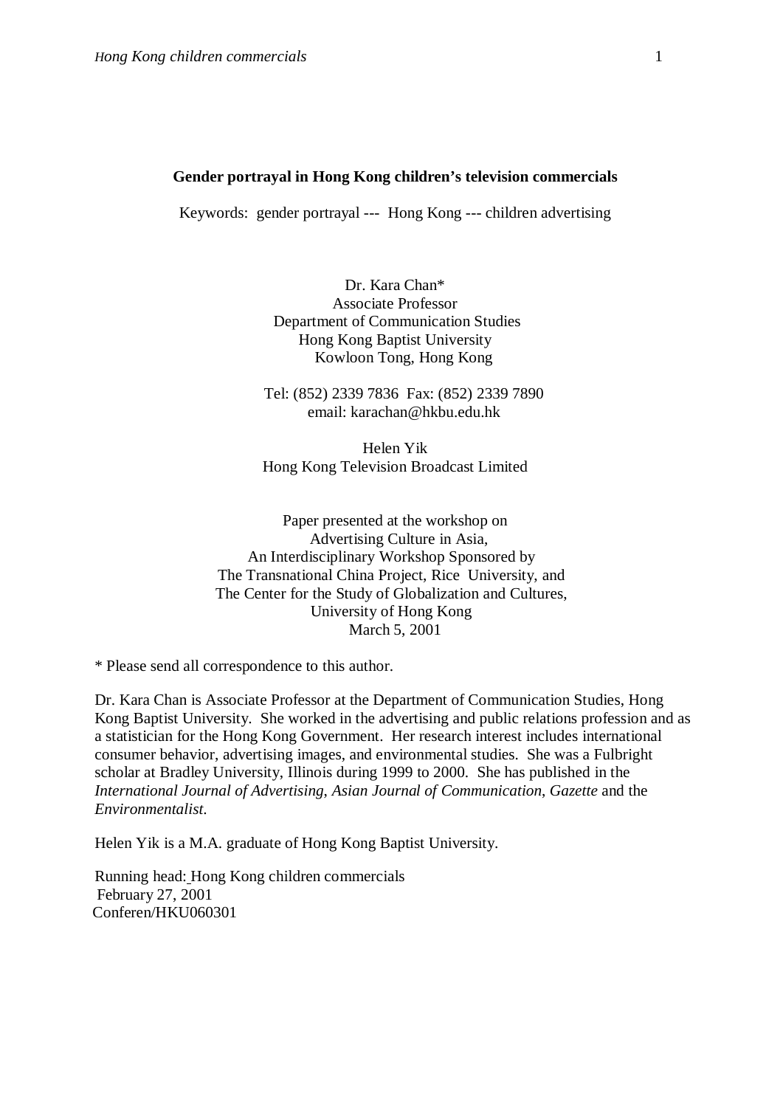#### **Gender portrayal in Hong Kong children's television commercials**

Keywords: gender portrayal --- Hong Kong --- children advertising

Dr. Kara Chan\* Associate Professor Department of Communication Studies Hong Kong Baptist University Kowloon Tong, Hong Kong

Tel: (852) 2339 7836 Fax: (852) 2339 7890 email: karachan@hkbu.edu.hk

Helen Yik Hong Kong Television Broadcast Limited

Paper presented at the workshop on Advertising Culture in Asia, An Interdisciplinary Workshop Sponsored by The Transnational China Project, Rice University, and The Center for the Study of Globalization and Cultures, University of Hong Kong March 5, 2001

\* Please send all correspondence to this author.

Dr. Kara Chan is Associate Professor at the Department of Communication Studies, Hong Kong Baptist University. She worked in the advertising and public relations profession and as a statistician for the Hong Kong Government. Her research interest includes international consumer behavior, advertising images, and environmental studies. She was a Fulbright scholar at Bradley University, Illinois during 1999 to 2000. She has published in the *International Journal of Advertising*, *Asian Journal of Communication*, *Gazette* and the *Environmentalist*.

Helen Yik is a M.A. graduate of Hong Kong Baptist University.

Running head: Hong Kong children commercials February 27, 2001 Conferen/HKU060301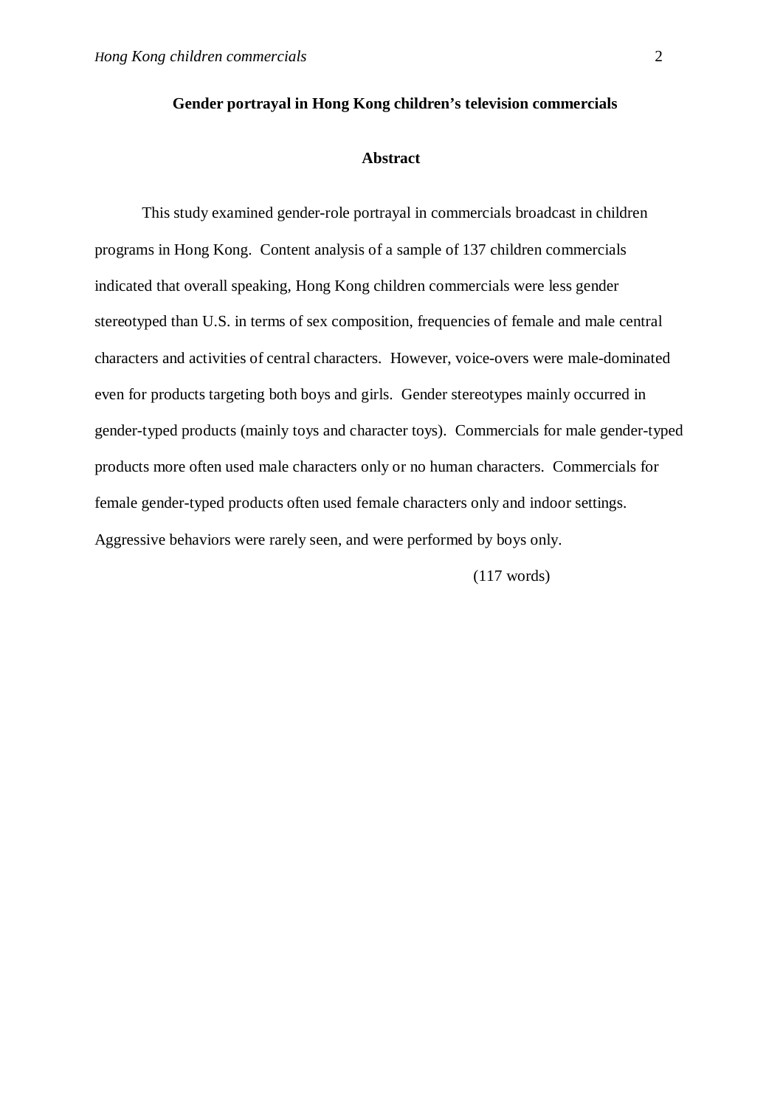## **Gender portrayal in Hong Kong children's television commercials**

#### **Abstract**

This study examined gender-role portrayal in commercials broadcast in children programs in Hong Kong. Content analysis of a sample of 137 children commercials indicated that overall speaking, Hong Kong children commercials were less gender stereotyped than U.S. in terms of sex composition, frequencies of female and male central characters and activities of central characters. However, voice-overs were male-dominated even for products targeting both boys and girls. Gender stereotypes mainly occurred in gender-typed products (mainly toys and character toys). Commercials for male gender-typed products more often used male characters only or no human characters. Commercials for female gender-typed products often used female characters only and indoor settings. Aggressive behaviors were rarely seen, and were performed by boys only.

(117 words)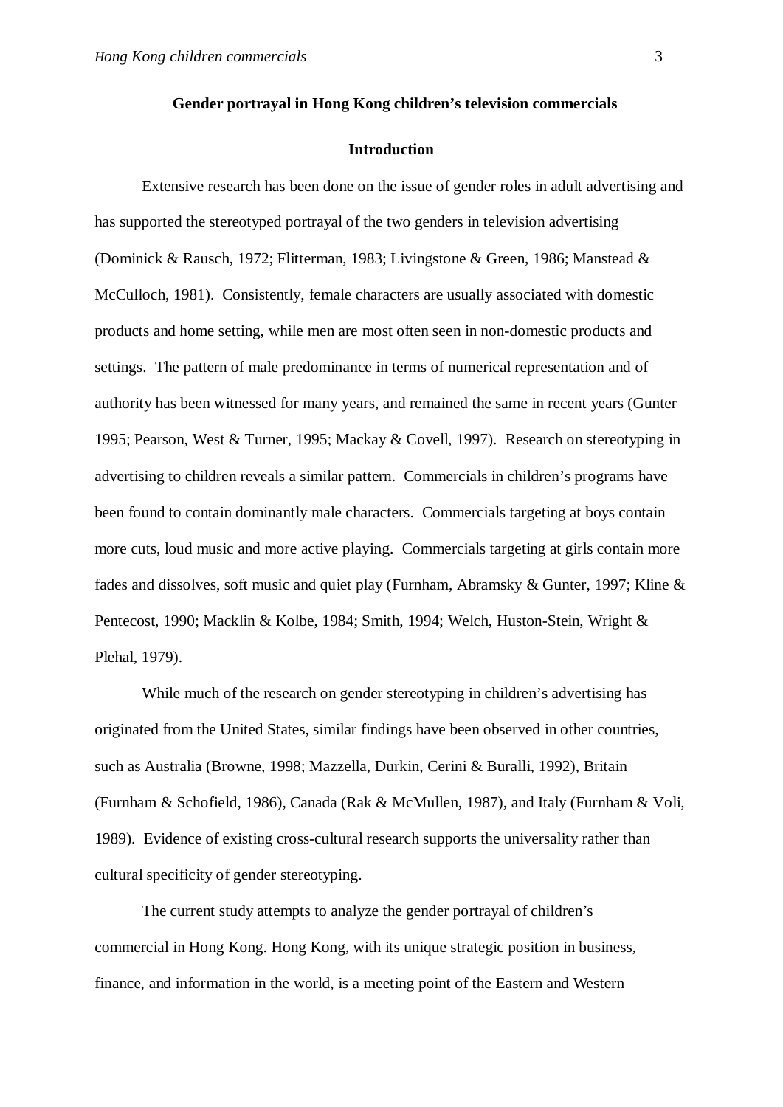## **Gender portrayal in Hong Kong children's television commercials**

### **Introduction**

Extensive research has been done on the issue of gender roles in adult advertising and has supported the stereotyped portrayal of the two genders in television advertising (Dominick & Rausch, 1972; Flitterman, 1983; Livingstone & Green, 1986; Manstead & McCulloch, 1981). Consistently, female characters are usually associated with domestic products and home setting, while men are most often seen in non-domestic products and settings. The pattern of male predominance in terms of numerical representation and of authority has been witnessed for many years, and remained the same in recent years (Gunter 1995; Pearson, West & Turner, 1995; Mackay & Covell, 1997). Research on stereotyping in advertising to children reveals a similar pattern. Commercials in children's programs have been found to contain dominantly male characters. Commercials targeting at boys contain more cuts, loud music and more active playing. Commercials targeting at girls contain more fades and dissolves, soft music and quiet play (Furnham, Abramsky & Gunter, 1997; Kline & Pentecost, 1990; Macklin & Kolbe, 1984; Smith, 1994; Welch, Huston-Stein, Wright & Plehal, 1979).

While much of the research on gender stereotyping in children's advertising has originated from the United States, similar findings have been observed in other countries, such as Australia (Browne, 1998; Mazzella, Durkin, Cerini & Buralli, 1992), Britain (Furnham & Schofield, 1986), Canada (Rak & McMullen, 1987), and Italy (Furnham & Voli, 1989). Evidence of existing cross-cultural research supports the universality rather than cultural specificity of gender stereotyping.

 The current study attempts to analyze the gender portrayal of children's commercial in Hong Kong. Hong Kong, with its unique strategic position in business, finance, and information in the world, is a meeting point of the Eastern and Western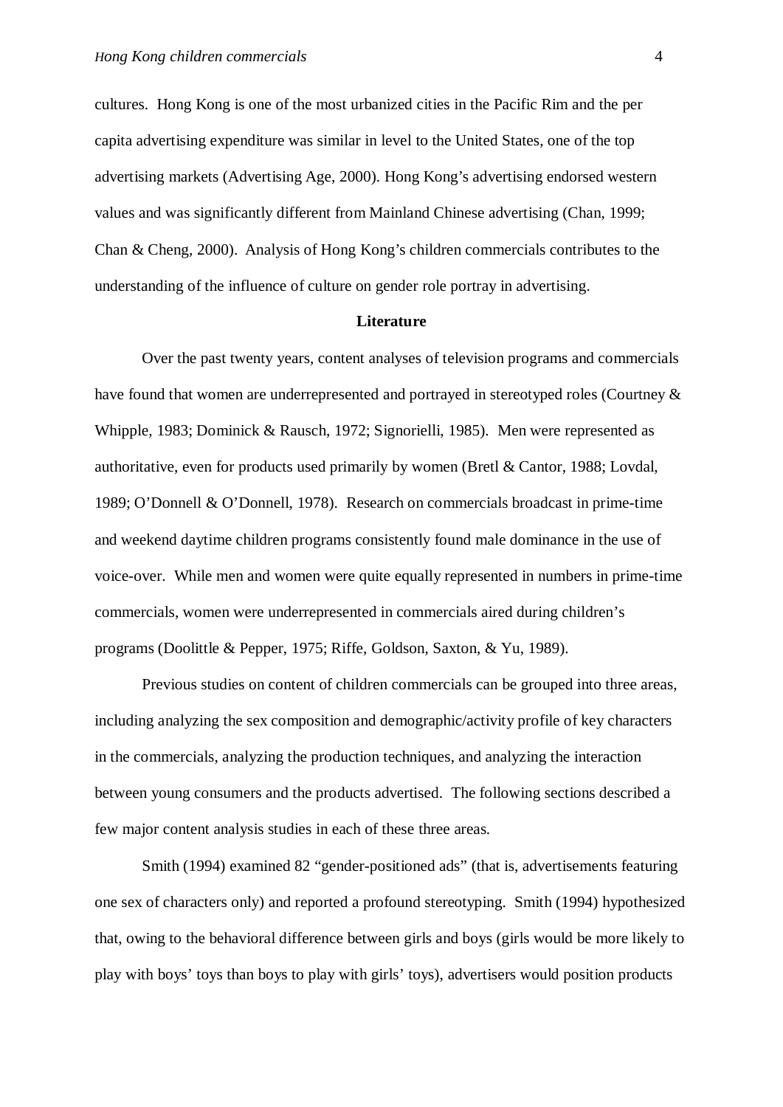cultures. Hong Kong is one of the most urbanized cities in the Pacific Rim and the per capita advertising expenditure was similar in level to the United States, one of the top advertising markets (Advertising Age, 2000). Hong Kong's advertising endorsed western values and was significantly different from Mainland Chinese advertising (Chan, 1999; Chan & Cheng, 2000). Analysis of Hong Kong's children commercials contributes to the understanding of the influence of culture on gender role portray in advertising.

#### **Literature**

Over the past twenty years, content analyses of television programs and commercials have found that women are underrepresented and portrayed in stereotyped roles (Courtney & Whipple, 1983; Dominick & Rausch, 1972; Signorielli, 1985). Men were represented as authoritative, even for products used primarily by women (Bretl & Cantor, 1988; Lovdal, 1989; O'Donnell & O'Donnell, 1978). Research on commercials broadcast in prime-time and weekend daytime children programs consistently found male dominance in the use of voice-over. While men and women were quite equally represented in numbers in prime-time commercials, women were underrepresented in commercials aired during children's programs (Doolittle & Pepper, 1975; Riffe, Goldson, Saxton, & Yu, 1989).

Previous studies on content of children commercials can be grouped into three areas, including analyzing the sex composition and demographic/activity profile of key characters in the commercials, analyzing the production techniques, and analyzing the interaction between young consumers and the products advertised. The following sections described a few major content analysis studies in each of these three areas.

Smith (1994) examined 82 "gender-positioned ads" (that is, advertisements featuring one sex of characters only) and reported a profound stereotyping. Smith (1994) hypothesized that, owing to the behavioral difference between girls and boys (girls would be more likely to play with boys' toys than boys to play with girls' toys), advertisers would position products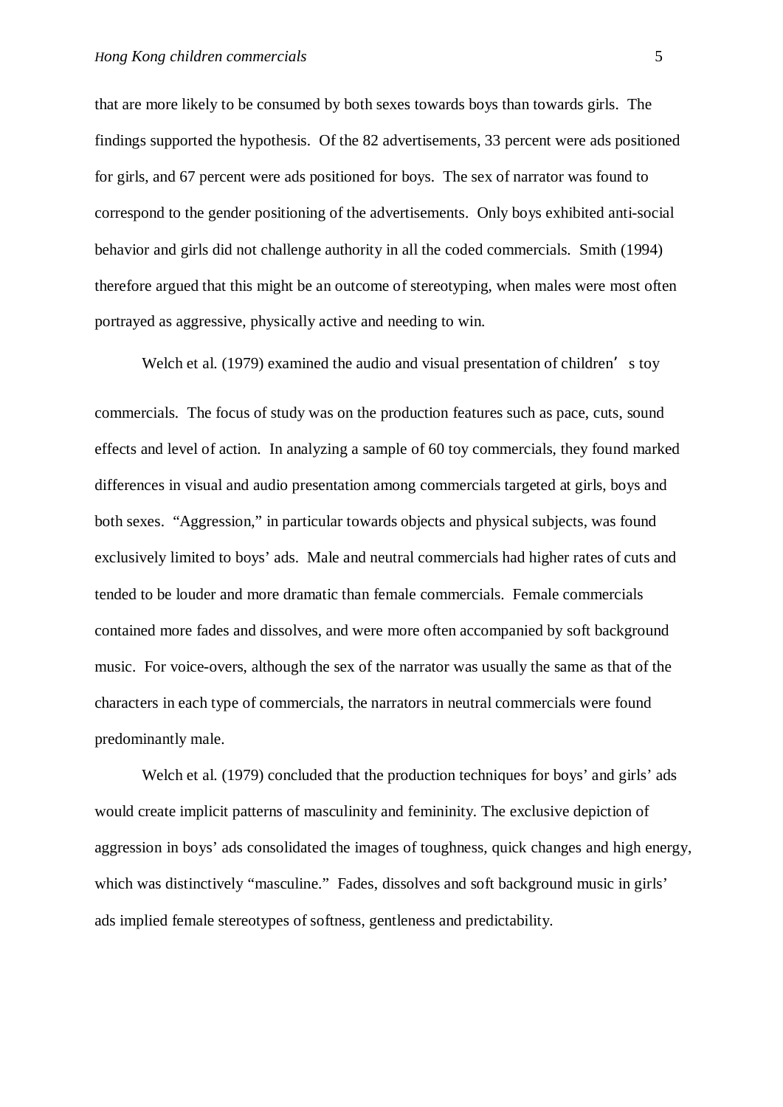that are more likely to be consumed by both sexes towards boys than towards girls. The findings supported the hypothesis. Of the 82 advertisements, 33 percent were ads positioned for girls, and 67 percent were ads positioned for boys. The sex of narrator was found to correspond to the gender positioning of the advertisements. Only boys exhibited anti-social behavior and girls did not challenge authority in all the coded commercials. Smith (1994) therefore argued that this might be an outcome of stereotyping, when males were most often portrayed as aggressive, physically active and needing to win.

Welch et al. (1979) examined the audio and visual presentation of children's toy commercials. The focus of study was on the production features such as pace, cuts, sound effects and level of action. In analyzing a sample of 60 toy commercials, they found marked differences in visual and audio presentation among commercials targeted at girls, boys and both sexes. "Aggression," in particular towards objects and physical subjects, was found exclusively limited to boys' ads. Male and neutral commercials had higher rates of cuts and tended to be louder and more dramatic than female commercials. Female commercials contained more fades and dissolves, and were more often accompanied by soft background music. For voice-overs, although the sex of the narrator was usually the same as that of the characters in each type of commercials, the narrators in neutral commercials were found predominantly male.

Welch et al. (1979) concluded that the production techniques for boys' and girls' ads would create implicit patterns of masculinity and femininity. The exclusive depiction of aggression in boys' ads consolidated the images of toughness, quick changes and high energy, which was distinctively "masculine." Fades, dissolves and soft background music in girls' ads implied female stereotypes of softness, gentleness and predictability.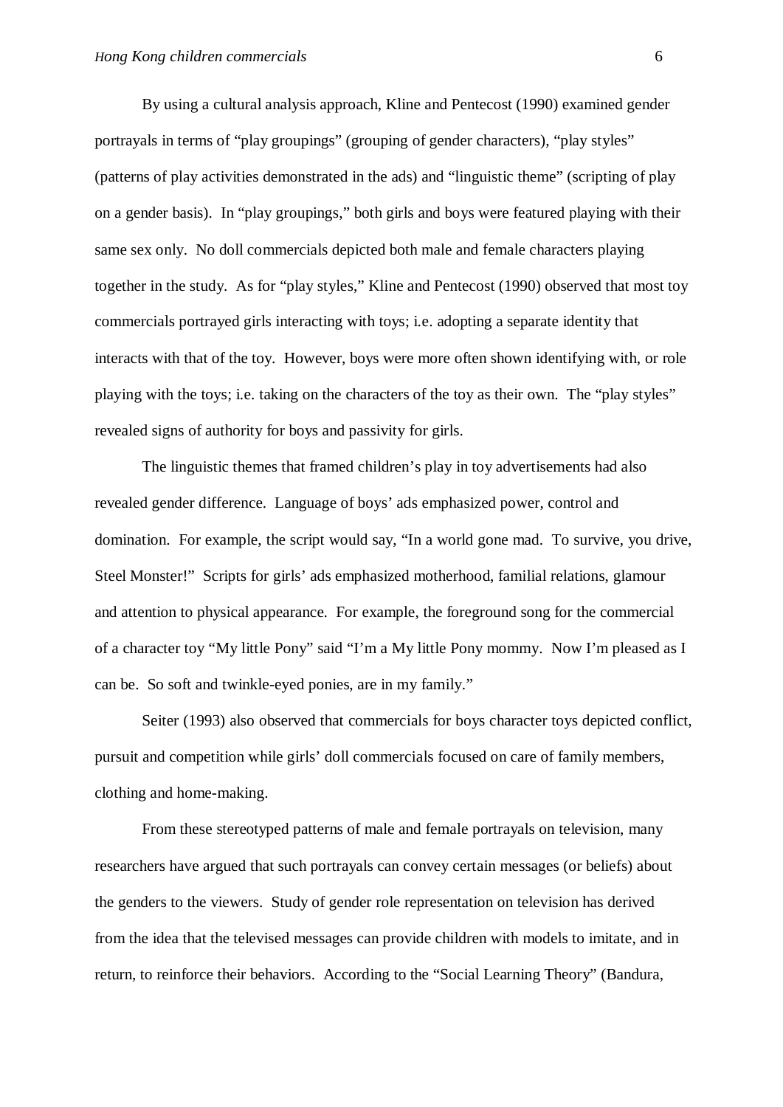By using a cultural analysis approach, Kline and Pentecost (1990) examined gender portrayals in terms of "play groupings" (grouping of gender characters), "play styles" (patterns of play activities demonstrated in the ads) and "linguistic theme" (scripting of play on a gender basis). In "play groupings," both girls and boys were featured playing with their same sex only. No doll commercials depicted both male and female characters playing together in the study. As for "play styles," Kline and Pentecost (1990) observed that most toy commercials portrayed girls interacting with toys; i.e. adopting a separate identity that interacts with that of the toy. However, boys were more often shown identifying with, or role playing with the toys; i.e. taking on the characters of the toy as their own. The "play styles" revealed signs of authority for boys and passivity for girls.

The linguistic themes that framed children's play in toy advertisements had also revealed gender difference. Language of boys' ads emphasized power, control and domination. For example, the script would say, "In a world gone mad. To survive, you drive, Steel Monster!" Scripts for girls' ads emphasized motherhood, familial relations, glamour and attention to physical appearance. For example, the foreground song for the commercial of a character toy "My little Pony" said "I'm a My little Pony mommy. Now I'm pleased as I can be. So soft and twinkle-eyed ponies, are in my family."

Seiter (1993) also observed that commercials for boys character toys depicted conflict, pursuit and competition while girls' doll commercials focused on care of family members, clothing and home-making.

From these stereotyped patterns of male and female portrayals on television, many researchers have argued that such portrayals can convey certain messages (or beliefs) about the genders to the viewers. Study of gender role representation on television has derived from the idea that the televised messages can provide children with models to imitate, and in return, to reinforce their behaviors. According to the "Social Learning Theory" (Bandura,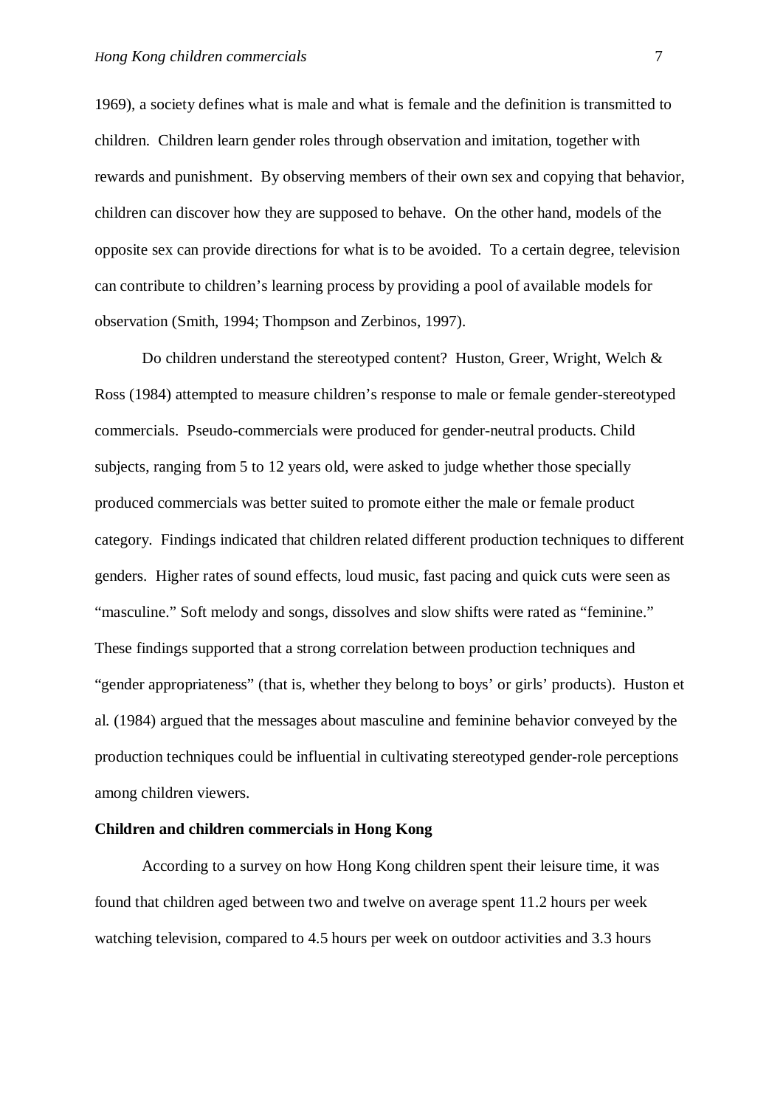1969), a society defines what is male and what is female and the definition is transmitted to children. Children learn gender roles through observation and imitation, together with rewards and punishment. By observing members of their own sex and copying that behavior, children can discover how they are supposed to behave. On the other hand, models of the opposite sex can provide directions for what is to be avoided. To a certain degree, television can contribute to children's learning process by providing a pool of available models for observation (Smith, 1994; Thompson and Zerbinos, 1997).

Do children understand the stereotyped content? Huston, Greer, Wright, Welch & Ross (1984) attempted to measure children's response to male or female gender-stereotyped commercials. Pseudo-commercials were produced for gender-neutral products. Child subjects, ranging from 5 to 12 years old, were asked to judge whether those specially produced commercials was better suited to promote either the male or female product category. Findings indicated that children related different production techniques to different genders. Higher rates of sound effects, loud music, fast pacing and quick cuts were seen as "masculine." Soft melody and songs, dissolves and slow shifts were rated as "feminine." These findings supported that a strong correlation between production techniques and "gender appropriateness" (that is, whether they belong to boys' or girls' products). Huston et al. (1984) argued that the messages about masculine and feminine behavior conveyed by the production techniques could be influential in cultivating stereotyped gender-role perceptions among children viewers.

#### **Children and children commercials in Hong Kong**

According to a survey on how Hong Kong children spent their leisure time, it was found that children aged between two and twelve on average spent 11.2 hours per week watching television, compared to 4.5 hours per week on outdoor activities and 3.3 hours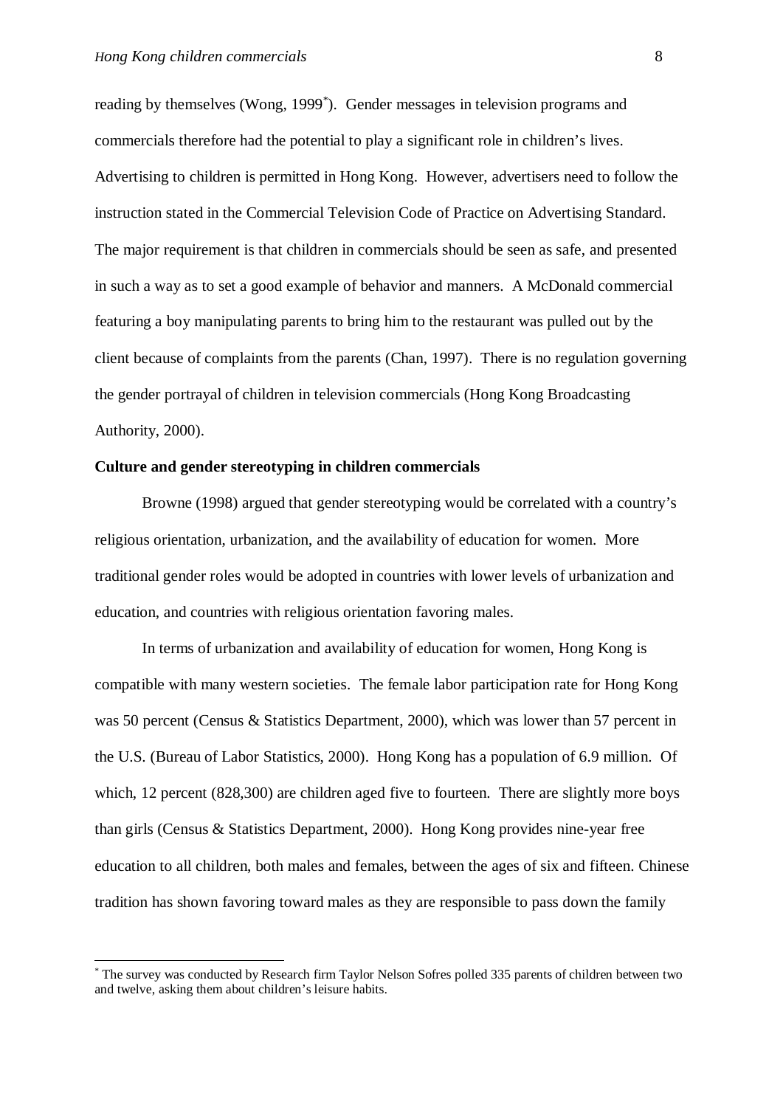reading by themselves (Wong, 1999\* ). Gender messages in television programs and commercials therefore had the potential to play a significant role in children's lives. Advertising to children is permitted in Hong Kong. However, advertisers need to follow the instruction stated in the Commercial Television Code of Practice on Advertising Standard. The major requirement is that children in commercials should be seen as safe, and presented in such a way as to set a good example of behavior and manners. A McDonald commercial featuring a boy manipulating parents to bring him to the restaurant was pulled out by the client because of complaints from the parents (Chan, 1997). There is no regulation governing the gender portrayal of children in television commercials (Hong Kong Broadcasting Authority, 2000).

## **Culture and gender stereotyping in children commercials**

Browne (1998) argued that gender stereotyping would be correlated with a country's religious orientation, urbanization, and the availability of education for women. More traditional gender roles would be adopted in countries with lower levels of urbanization and education, and countries with religious orientation favoring males.

In terms of urbanization and availability of education for women, Hong Kong is compatible with many western societies. The female labor participation rate for Hong Kong was 50 percent (Census & Statistics Department, 2000), which was lower than 57 percent in the U.S. (Bureau of Labor Statistics, 2000). Hong Kong has a population of 6.9 million. Of which, 12 percent (828,300) are children aged five to fourteen. There are slightly more boys than girls (Census & Statistics Department, 2000). Hong Kong provides nine-year free education to all children, both males and females, between the ages of six and fifteen. Chinese tradition has shown favoring toward males as they are responsible to pass down the family

<sup>\*</sup> The survey was conducted by Research firm Taylor Nelson Sofres polled 335 parents of children between two and twelve, asking them about children's leisure habits.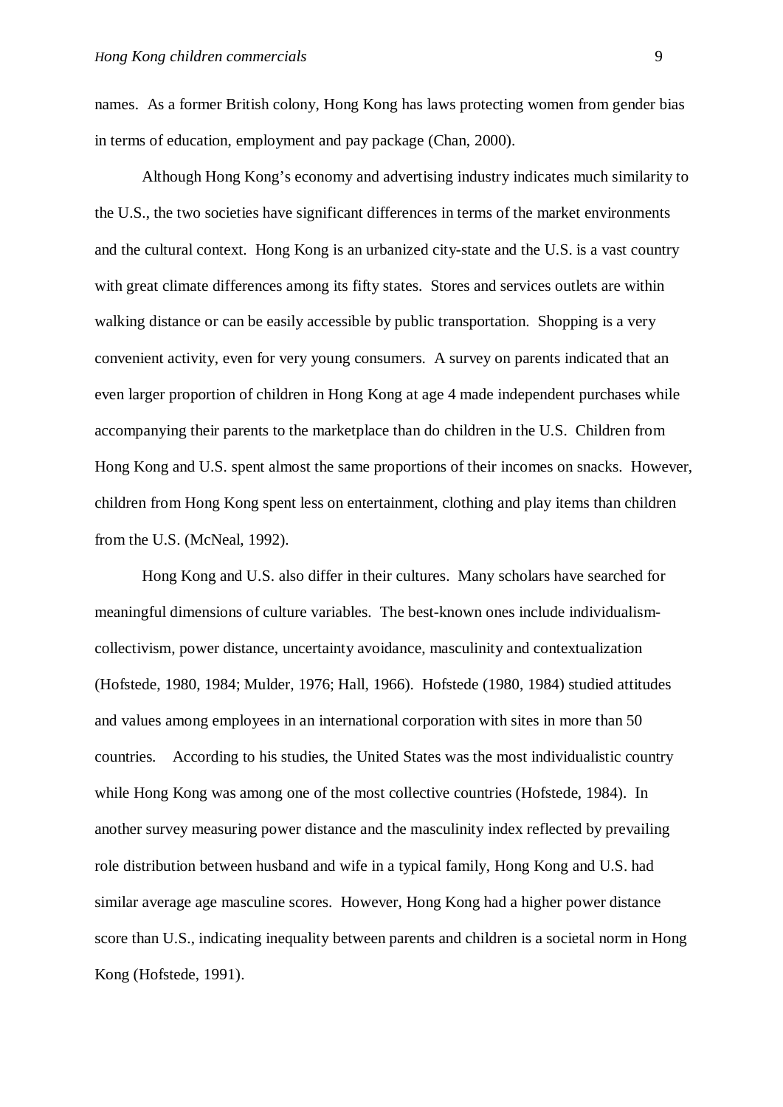names. As a former British colony, Hong Kong has laws protecting women from gender bias in terms of education, employment and pay package (Chan, 2000).

Although Hong Kong's economy and advertising industry indicates much similarity to the U.S., the two societies have significant differences in terms of the market environments and the cultural context. Hong Kong is an urbanized city-state and the U.S. is a vast country with great climate differences among its fifty states. Stores and services outlets are within walking distance or can be easily accessible by public transportation. Shopping is a very convenient activity, even for very young consumers. A survey on parents indicated that an even larger proportion of children in Hong Kong at age 4 made independent purchases while accompanying their parents to the marketplace than do children in the U.S. Children from Hong Kong and U.S. spent almost the same proportions of their incomes on snacks. However, children from Hong Kong spent less on entertainment, clothing and play items than children from the U.S. (McNeal, 1992).

Hong Kong and U.S. also differ in their cultures. Many scholars have searched for meaningful dimensions of culture variables. The best-known ones include individualismcollectivism, power distance, uncertainty avoidance, masculinity and contextualization (Hofstede, 1980, 1984; Mulder, 1976; Hall, 1966). Hofstede (1980, 1984) studied attitudes and values among employees in an international corporation with sites in more than 50 countries. According to his studies, the United States was the most individualistic country while Hong Kong was among one of the most collective countries (Hofstede, 1984). In another survey measuring power distance and the masculinity index reflected by prevailing role distribution between husband and wife in a typical family, Hong Kong and U.S. had similar average age masculine scores. However, Hong Kong had a higher power distance score than U.S., indicating inequality between parents and children is a societal norm in Hong Kong (Hofstede, 1991).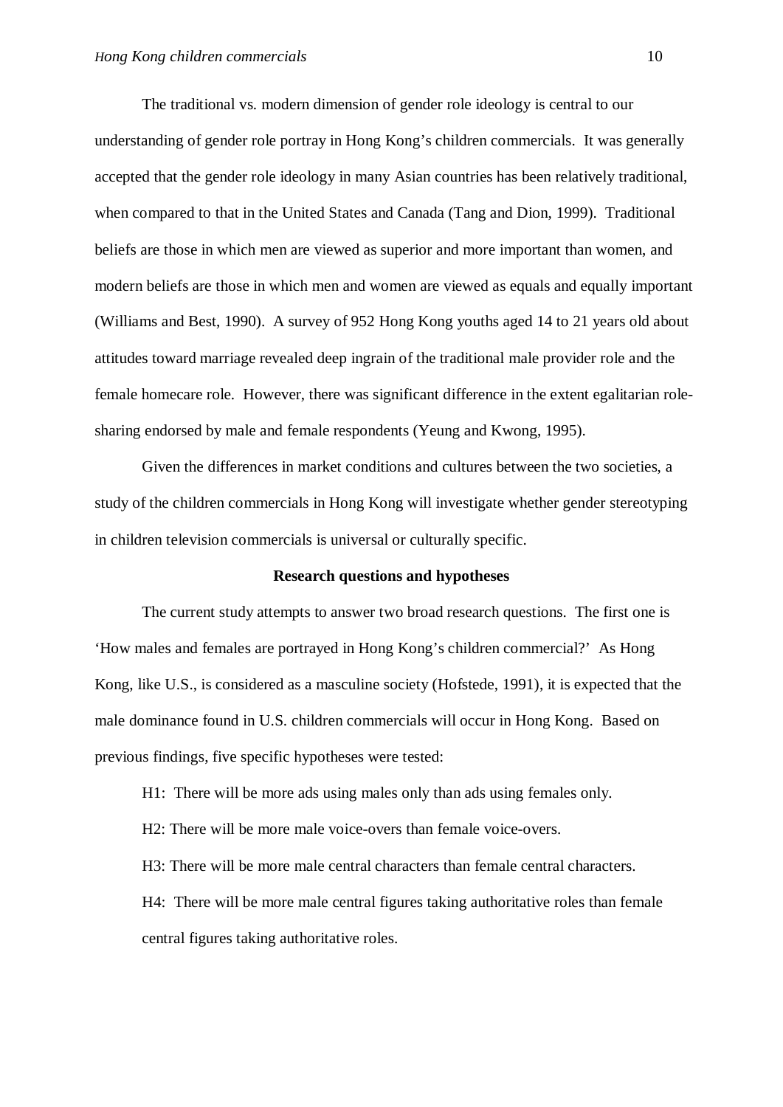The traditional vs. modern dimension of gender role ideology is central to our understanding of gender role portray in Hong Kong's children commercials. It was generally accepted that the gender role ideology in many Asian countries has been relatively traditional, when compared to that in the United States and Canada (Tang and Dion, 1999). Traditional beliefs are those in which men are viewed as superior and more important than women, and modern beliefs are those in which men and women are viewed as equals and equally important (Williams and Best, 1990). A survey of 952 Hong Kong youths aged 14 to 21 years old about attitudes toward marriage revealed deep ingrain of the traditional male provider role and the female homecare role. However, there was significant difference in the extent egalitarian rolesharing endorsed by male and female respondents (Yeung and Kwong, 1995).

Given the differences in market conditions and cultures between the two societies, a study of the children commercials in Hong Kong will investigate whether gender stereotyping in children television commercials is universal or culturally specific.

#### **Research questions and hypotheses**

The current study attempts to answer two broad research questions. The first one is 'How males and females are portrayed in Hong Kong's children commercial?' As Hong Kong, like U.S., is considered as a masculine society (Hofstede, 1991), it is expected that the male dominance found in U.S. children commercials will occur in Hong Kong. Based on previous findings, five specific hypotheses were tested:

H1: There will be more ads using males only than ads using females only.

H2: There will be more male voice-overs than female voice-overs.

H3: There will be more male central characters than female central characters.

H4: There will be more male central figures taking authoritative roles than female central figures taking authoritative roles.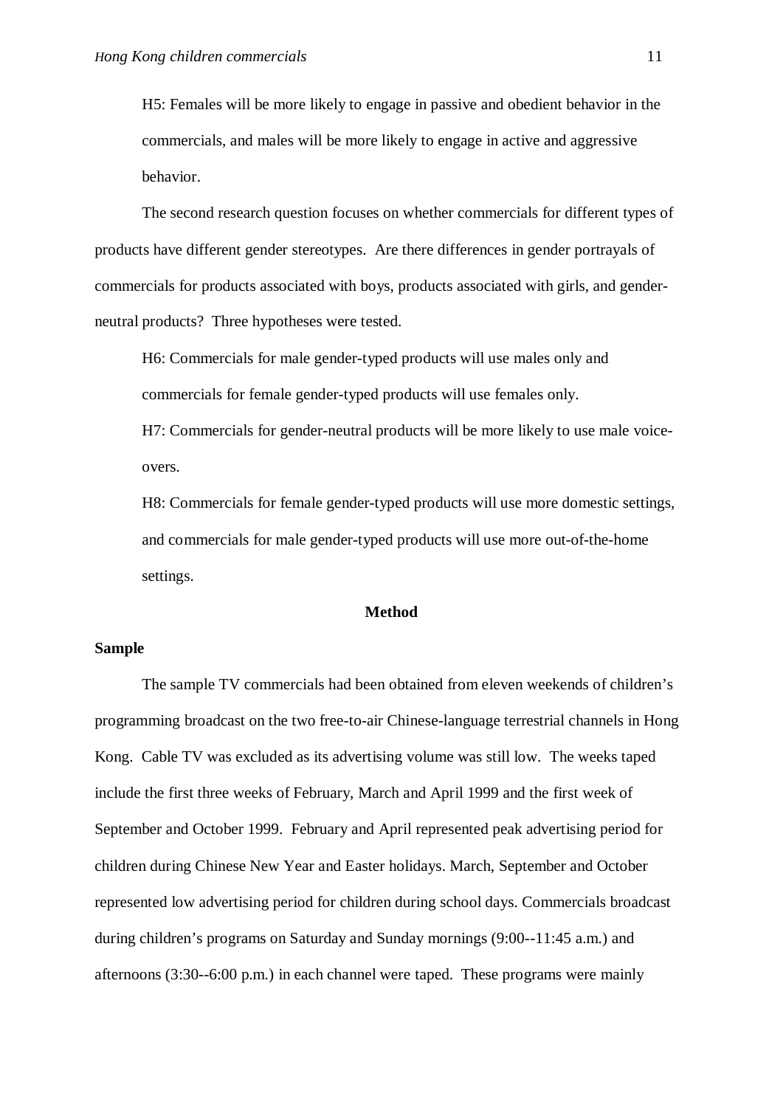H5: Females will be more likely to engage in passive and obedient behavior in the commercials, and males will be more likely to engage in active and aggressive behavior.

The second research question focuses on whether commercials for different types of products have different gender stereotypes. Are there differences in gender portrayals of commercials for products associated with boys, products associated with girls, and genderneutral products? Three hypotheses were tested.

H6: Commercials for male gender-typed products will use males only and commercials for female gender-typed products will use females only.

H7: Commercials for gender-neutral products will be more likely to use male voiceovers.

H8: Commercials for female gender-typed products will use more domestic settings, and commercials for male gender-typed products will use more out-of-the-home settings.

#### **Method**

### **Sample**

The sample TV commercials had been obtained from eleven weekends of children's programming broadcast on the two free-to-air Chinese-language terrestrial channels in Hong Kong. Cable TV was excluded as its advertising volume was still low. The weeks taped include the first three weeks of February, March and April 1999 and the first week of September and October 1999. February and April represented peak advertising period for children during Chinese New Year and Easter holidays. March, September and October represented low advertising period for children during school days. Commercials broadcast during children's programs on Saturday and Sunday mornings (9:00--11:45 a.m.) and afternoons (3:30--6:00 p.m.) in each channel were taped. These programs were mainly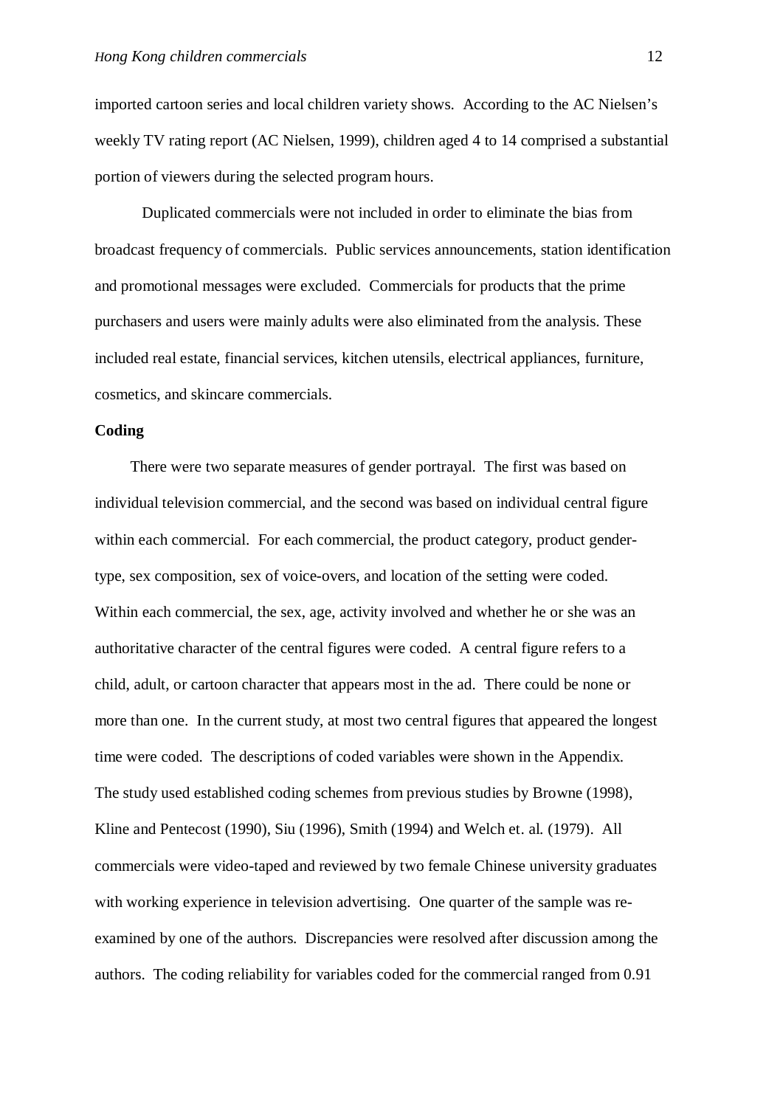imported cartoon series and local children variety shows. According to the AC Nielsen's weekly TV rating report (AC Nielsen, 1999), children aged 4 to 14 comprised a substantial portion of viewers during the selected program hours.

Duplicated commercials were not included in order to eliminate the bias from broadcast frequency of commercials. Public services announcements, station identification and promotional messages were excluded. Commercials for products that the prime purchasers and users were mainly adults were also eliminated from the analysis. These included real estate, financial services, kitchen utensils, electrical appliances, furniture, cosmetics, and skincare commercials.

### **Coding**

There were two separate measures of gender portrayal. The first was based on individual television commercial, and the second was based on individual central figure within each commercial. For each commercial, the product category, product gendertype, sex composition, sex of voice-overs, and location of the setting were coded. Within each commercial, the sex, age, activity involved and whether he or she was an authoritative character of the central figures were coded. A central figure refers to a child, adult, or cartoon character that appears most in the ad. There could be none or more than one. In the current study, at most two central figures that appeared the longest time were coded. The descriptions of coded variables were shown in the Appendix. The study used established coding schemes from previous studies by Browne (1998), Kline and Pentecost (1990), Siu (1996), Smith (1994) and Welch et. al. (1979). All commercials were video-taped and reviewed by two female Chinese university graduates with working experience in television advertising. One quarter of the sample was reexamined by one of the authors. Discrepancies were resolved after discussion among the authors. The coding reliability for variables coded for the commercial ranged from 0.91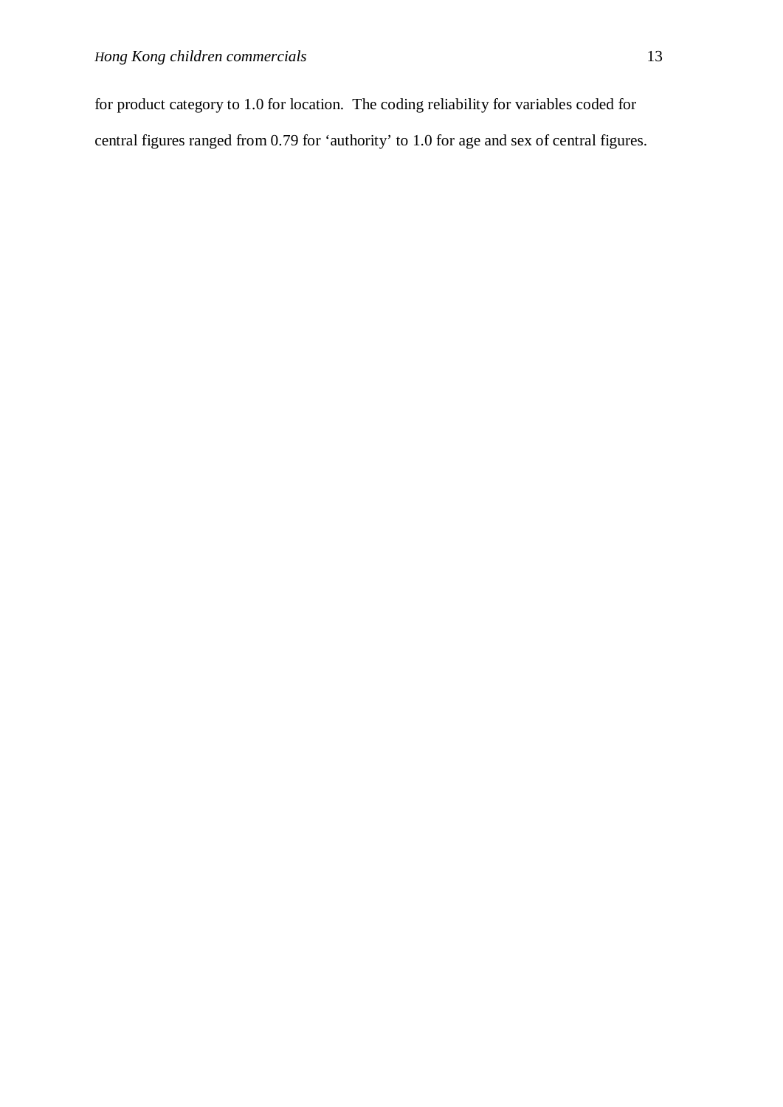for product category to 1.0 for location. The coding reliability for variables coded for central figures ranged from 0.79 for 'authority' to 1.0 for age and sex of central figures.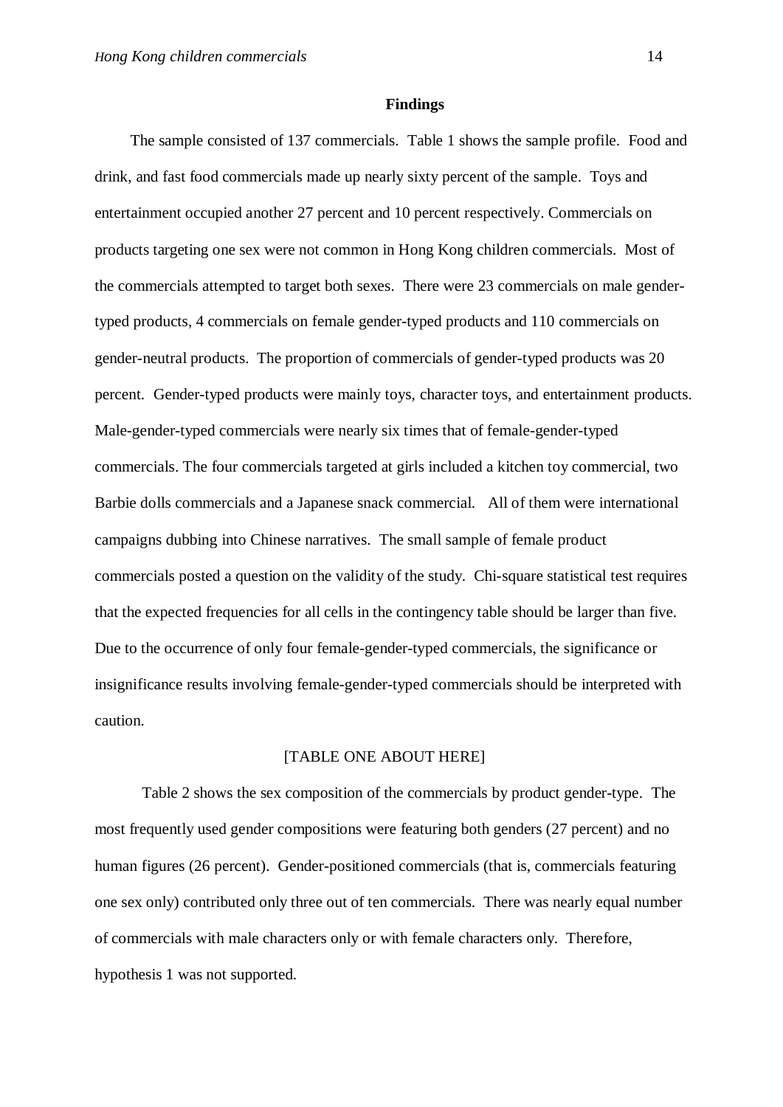#### **Findings**

The sample consisted of 137 commercials. Table 1 shows the sample profile. Food and drink, and fast food commercials made up nearly sixty percent of the sample. Toys and entertainment occupied another 27 percent and 10 percent respectively. Commercials on products targeting one sex were not common in Hong Kong children commercials. Most of the commercials attempted to target both sexes. There were 23 commercials on male gendertyped products, 4 commercials on female gender-typed products and 110 commercials on gender-neutral products. The proportion of commercials of gender-typed products was 20 percent. Gender-typed products were mainly toys, character toys, and entertainment products. Male-gender-typed commercials were nearly six times that of female-gender-typed commercials. The four commercials targeted at girls included a kitchen toy commercial, two Barbie dolls commercials and a Japanese snack commercial. All of them were international campaigns dubbing into Chinese narratives. The small sample of female product commercials posted a question on the validity of the study. Chi-square statistical test requires that the expected frequencies for all cells in the contingency table should be larger than five. Due to the occurrence of only four female-gender-typed commercials, the significance or insignificance results involving female-gender-typed commercials should be interpreted with caution.

#### [TABLE ONE ABOUT HERE]

Table 2 shows the sex composition of the commercials by product gender-type. The most frequently used gender compositions were featuring both genders (27 percent) and no human figures (26 percent). Gender-positioned commercials (that is, commercials featuring one sex only) contributed only three out of ten commercials. There was nearly equal number of commercials with male characters only or with female characters only. Therefore, hypothesis 1 was not supported.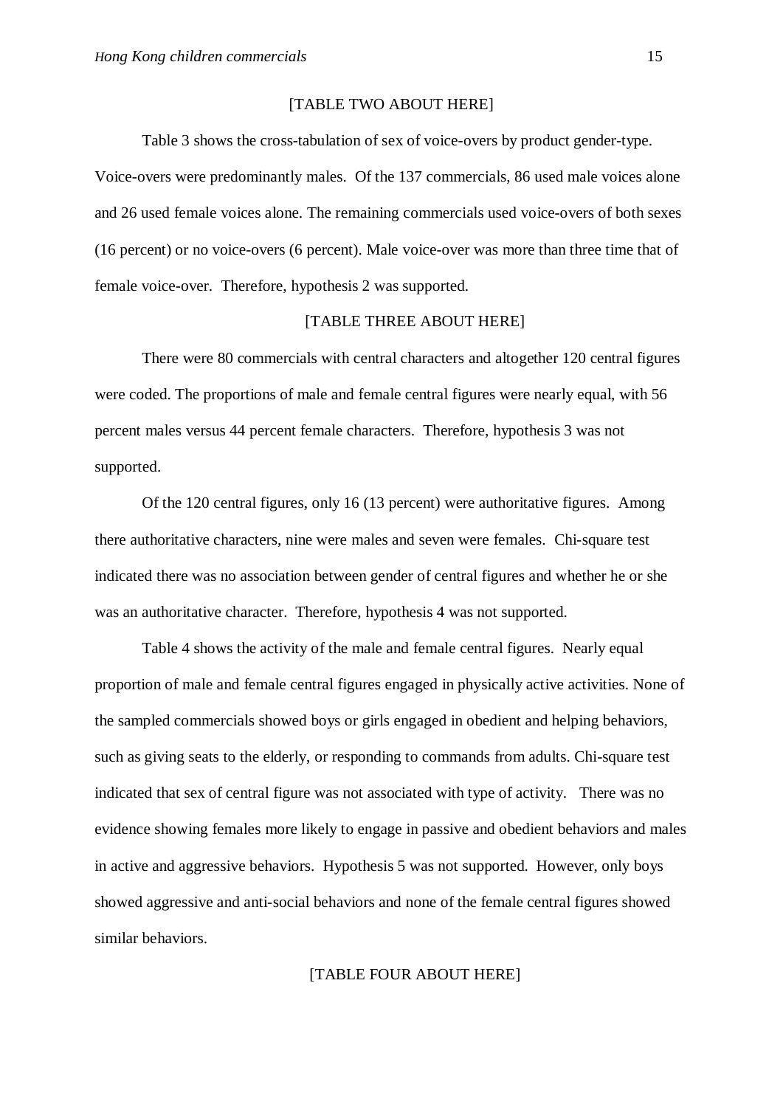#### [TABLE TWO ABOUT HERE]

Table 3 shows the cross-tabulation of sex of voice-overs by product gender-type.

Voice-overs were predominantly males. Of the 137 commercials, 86 used male voices alone and 26 used female voices alone. The remaining commercials used voice-overs of both sexes (16 percent) or no voice-overs (6 percent). Male voice-over was more than three time that of female voice-over. Therefore, hypothesis 2 was supported.

#### [TABLE THREE ABOUT HERE]

There were 80 commercials with central characters and altogether 120 central figures were coded. The proportions of male and female central figures were nearly equal, with 56 percent males versus 44 percent female characters. Therefore, hypothesis 3 was not supported.

Of the 120 central figures, only 16 (13 percent) were authoritative figures. Among there authoritative characters, nine were males and seven were females. Chi-square test indicated there was no association between gender of central figures and whether he or she was an authoritative character. Therefore, hypothesis 4 was not supported.

Table 4 shows the activity of the male and female central figures. Nearly equal proportion of male and female central figures engaged in physically active activities. None of the sampled commercials showed boys or girls engaged in obedient and helping behaviors, such as giving seats to the elderly, or responding to commands from adults. Chi-square test indicated that sex of central figure was not associated with type of activity. There was no evidence showing females more likely to engage in passive and obedient behaviors and males in active and aggressive behaviors. Hypothesis 5 was not supported. However, only boys showed aggressive and anti-social behaviors and none of the female central figures showed similar behaviors.

#### [TABLE FOUR ABOUT HERE]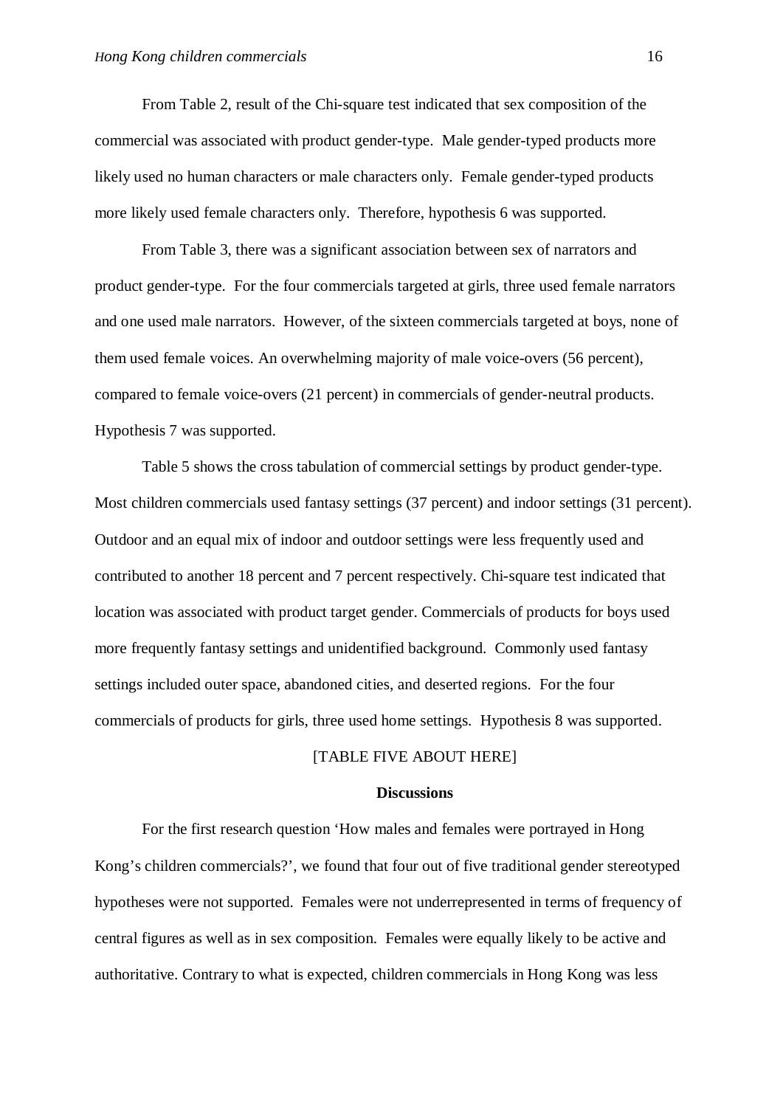From Table 2, result of the Chi-square test indicated that sex composition of the commercial was associated with product gender-type. Male gender-typed products more likely used no human characters or male characters only. Female gender-typed products more likely used female characters only. Therefore, hypothesis 6 was supported.

From Table 3, there was a significant association between sex of narrators and product gender-type. For the four commercials targeted at girls, three used female narrators and one used male narrators. However, of the sixteen commercials targeted at boys, none of them used female voices. An overwhelming majority of male voice-overs (56 percent), compared to female voice-overs (21 percent) in commercials of gender-neutral products. Hypothesis 7 was supported.

Table 5 shows the cross tabulation of commercial settings by product gender-type. Most children commercials used fantasy settings (37 percent) and indoor settings (31 percent). Outdoor and an equal mix of indoor and outdoor settings were less frequently used and contributed to another 18 percent and 7 percent respectively. Chi-square test indicated that location was associated with product target gender. Commercials of products for boys used more frequently fantasy settings and unidentified background. Commonly used fantasy settings included outer space, abandoned cities, and deserted regions. For the four commercials of products for girls, three used home settings. Hypothesis 8 was supported.

# [TABLE FIVE ABOUT HERE]

#### **Discussions**

For the first research question 'How males and females were portrayed in Hong Kong's children commercials?', we found that four out of five traditional gender stereotyped hypotheses were not supported. Females were not underrepresented in terms of frequency of central figures as well as in sex composition. Females were equally likely to be active and authoritative. Contrary to what is expected, children commercials in Hong Kong was less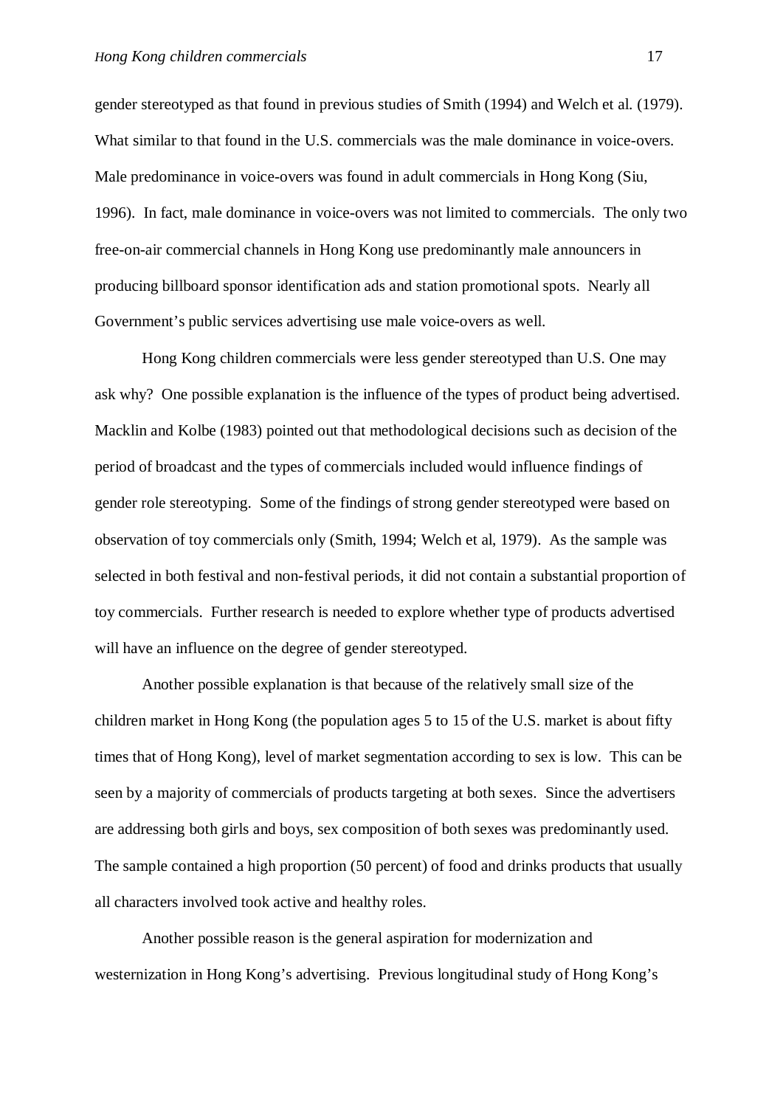gender stereotyped as that found in previous studies of Smith (1994) and Welch et al. (1979). What similar to that found in the U.S. commercials was the male dominance in voice-overs. Male predominance in voice-overs was found in adult commercials in Hong Kong (Siu, 1996). In fact, male dominance in voice-overs was not limited to commercials. The only two free-on-air commercial channels in Hong Kong use predominantly male announcers in producing billboard sponsor identification ads and station promotional spots. Nearly all Government's public services advertising use male voice-overs as well.

Hong Kong children commercials were less gender stereotyped than U.S. One may ask why? One possible explanation is the influence of the types of product being advertised. Macklin and Kolbe (1983) pointed out that methodological decisions such as decision of the period of broadcast and the types of commercials included would influence findings of gender role stereotyping. Some of the findings of strong gender stereotyped were based on observation of toy commercials only (Smith, 1994; Welch et al, 1979). As the sample was selected in both festival and non-festival periods, it did not contain a substantial proportion of toy commercials. Further research is needed to explore whether type of products advertised will have an influence on the degree of gender stereotyped.

Another possible explanation is that because of the relatively small size of the children market in Hong Kong (the population ages 5 to 15 of the U.S. market is about fifty times that of Hong Kong), level of market segmentation according to sex is low. This can be seen by a majority of commercials of products targeting at both sexes. Since the advertisers are addressing both girls and boys, sex composition of both sexes was predominantly used. The sample contained a high proportion (50 percent) of food and drinks products that usually all characters involved took active and healthy roles.

Another possible reason is the general aspiration for modernization and westernization in Hong Kong's advertising. Previous longitudinal study of Hong Kong's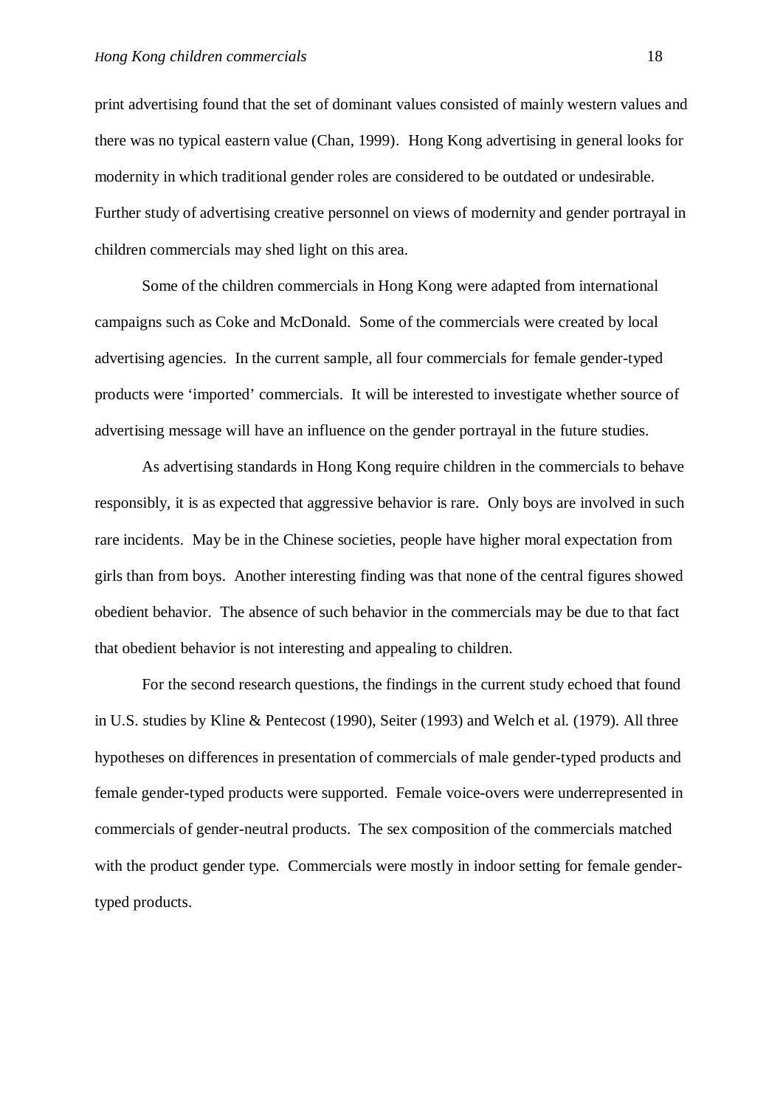print advertising found that the set of dominant values consisted of mainly western values and there was no typical eastern value (Chan, 1999). Hong Kong advertising in general looks for modernity in which traditional gender roles are considered to be outdated or undesirable. Further study of advertising creative personnel on views of modernity and gender portrayal in children commercials may shed light on this area.

Some of the children commercials in Hong Kong were adapted from international campaigns such as Coke and McDonald. Some of the commercials were created by local advertising agencies. In the current sample, all four commercials for female gender-typed products were 'imported' commercials. It will be interested to investigate whether source of advertising message will have an influence on the gender portrayal in the future studies.

As advertising standards in Hong Kong require children in the commercials to behave responsibly, it is as expected that aggressive behavior is rare. Only boys are involved in such rare incidents. May be in the Chinese societies, people have higher moral expectation from girls than from boys. Another interesting finding was that none of the central figures showed obedient behavior. The absence of such behavior in the commercials may be due to that fact that obedient behavior is not interesting and appealing to children.

For the second research questions, the findings in the current study echoed that found in U.S. studies by Kline & Pentecost (1990), Seiter (1993) and Welch et al. (1979). All three hypotheses on differences in presentation of commercials of male gender-typed products and female gender-typed products were supported. Female voice-overs were underrepresented in commercials of gender-neutral products. The sex composition of the commercials matched with the product gender type. Commercials were mostly in indoor setting for female gendertyped products.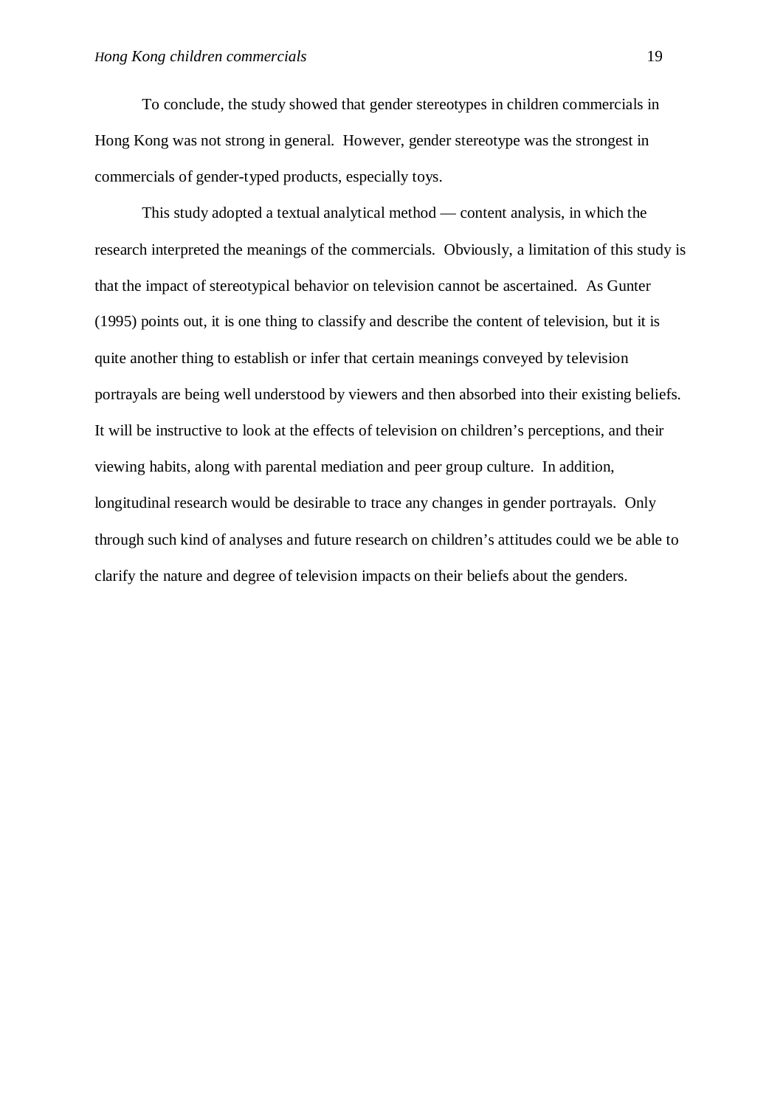To conclude, the study showed that gender stereotypes in children commercials in Hong Kong was not strong in general. However, gender stereotype was the strongest in commercials of gender-typed products, especially toys.

This study adopted a textual analytical method — content analysis, in which the research interpreted the meanings of the commercials. Obviously, a limitation of this study is that the impact of stereotypical behavior on television cannot be ascertained. As Gunter (1995) points out, it is one thing to classify and describe the content of television, but it is quite another thing to establish or infer that certain meanings conveyed by television portrayals are being well understood by viewers and then absorbed into their existing beliefs. It will be instructive to look at the effects of television on children's perceptions, and their viewing habits, along with parental mediation and peer group culture. In addition, longitudinal research would be desirable to trace any changes in gender portrayals. Only through such kind of analyses and future research on children's attitudes could we be able to clarify the nature and degree of television impacts on their beliefs about the genders.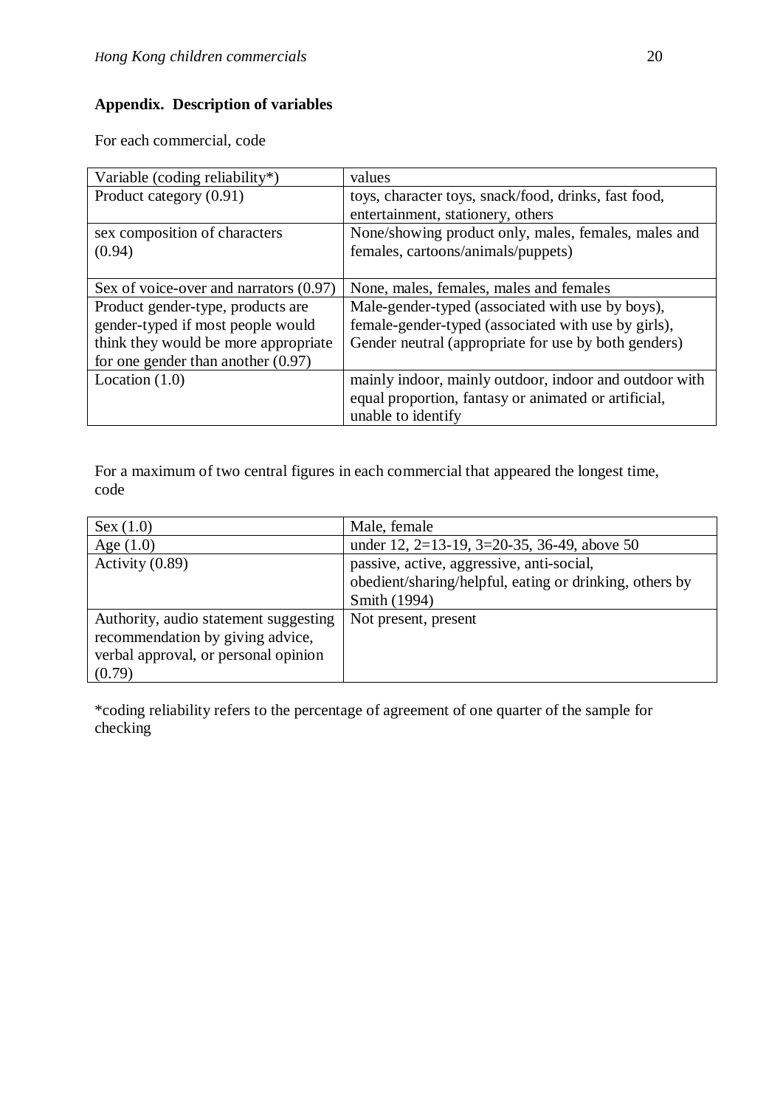# **Appendix. Description of variables**

For each commercial, code

| Variable (coding reliability*)         | values                                                 |
|----------------------------------------|--------------------------------------------------------|
| Product category (0.91)                | toys, character toys, snack/food, drinks, fast food,   |
|                                        | entertainment, stationery, others                      |
| sex composition of characters          | None/showing product only, males, females, males and   |
| (0.94)                                 | females, cartoons/animals/puppets)                     |
|                                        |                                                        |
| Sex of voice-over and narrators (0.97) | None, males, females, males and females                |
| Product gender-type, products are      | Male-gender-typed (associated with use by boys),       |
| gender-typed if most people would      | female-gender-typed (associated with use by girls),    |
| think they would be more appropriate   | Gender neutral (appropriate for use by both genders)   |
| for one gender than another $(0.97)$   |                                                        |
| Location $(1.0)$                       | mainly indoor, mainly outdoor, indoor and outdoor with |
|                                        | equal proportion, fantasy or animated or artificial,   |
|                                        | unable to identify                                     |

For a maximum of two central figures in each commercial that appeared the longest time, code

| Sex (1.0)                             | Male, female                                            |
|---------------------------------------|---------------------------------------------------------|
| Age $(1.0)$                           | under 12, 2=13-19, 3=20-35, 36-49, above 50             |
| Activity $(0.89)$                     | passive, active, aggressive, anti-social,               |
|                                       | obedient/sharing/helpful, eating or drinking, others by |
|                                       | Smith (1994)                                            |
| Authority, audio statement suggesting | Not present, present                                    |
| recommendation by giving advice,      |                                                         |
| verbal approval, or personal opinion  |                                                         |
| (0.79)                                |                                                         |

\*coding reliability refers to the percentage of agreement of one quarter of the sample for checking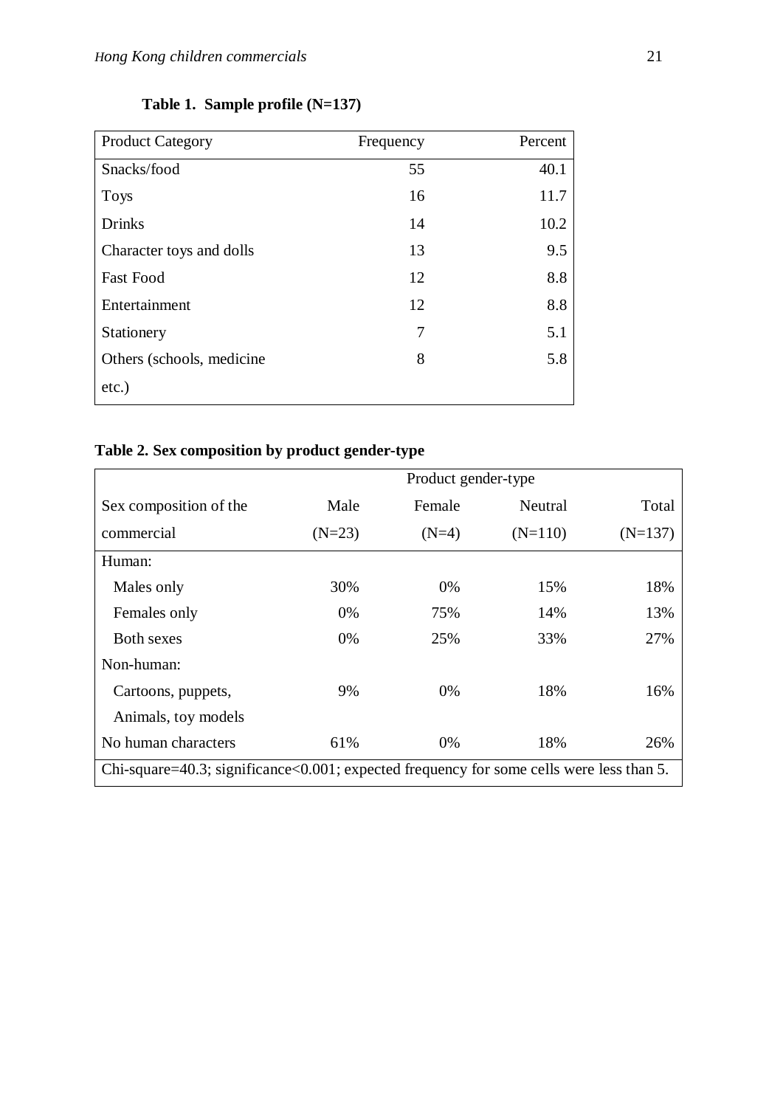| <b>Product Category</b>    | Frequency | Percent |
|----------------------------|-----------|---------|
| Snacks/food                | 55        | 40.1    |
| <b>Toys</b>                | 16        | 11.7    |
| <b>Drinks</b>              | 14        | 10.2    |
| Character toys and dolls   | 13        | 9.5     |
| <b>Fast Food</b>           | 12        | 8.8     |
| Entertainment              | 12        | 8.8     |
| Stationery                 | 7         | 5.1     |
| Others (schools, medicine) | 8         | 5.8     |
| $etc.$ )                   |           |         |

# **Table 1. Sample profile (N=137)**

# **Table 2. Sex composition by product gender-type**

|                                                                                          | Product gender-type |         |           |           |
|------------------------------------------------------------------------------------------|---------------------|---------|-----------|-----------|
| Sex composition of the                                                                   | Male                | Female  | Neutral   | Total     |
| commercial                                                                               | $(N=23)$            | $(N=4)$ | $(N=110)$ | $(N=137)$ |
| Human:                                                                                   |                     |         |           |           |
| Males only                                                                               | 30%                 | $0\%$   | 15%       | 18%       |
| Females only                                                                             | 0%                  | 75%     | 14%       | 13%       |
| <b>Both sexes</b>                                                                        | 0%                  | 25%     | 33%       | 27%       |
| Non-human:                                                                               |                     |         |           |           |
| Cartoons, puppets,                                                                       | 9%                  | $0\%$   | 18%       | 16%       |
| Animals, toy models                                                                      |                     |         |           |           |
| No human characters                                                                      | 61%                 | $0\%$   | 18%       | 26%       |
| Chi-square=40.3; significance<0.001; expected frequency for some cells were less than 5. |                     |         |           |           |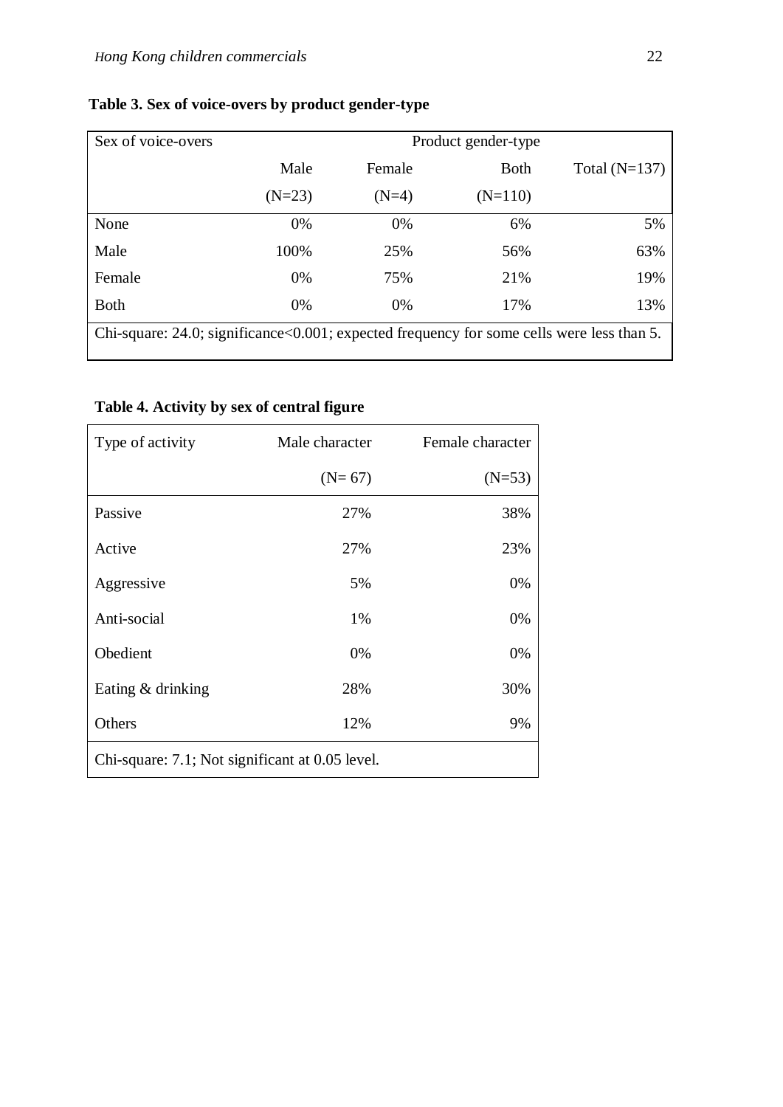| Sex of voice-overs                                                                               | Product gender-type |         |             |                 |
|--------------------------------------------------------------------------------------------------|---------------------|---------|-------------|-----------------|
|                                                                                                  | Male                | Female  | <b>Both</b> | Total $(N=137)$ |
|                                                                                                  | $(N=23)$            | $(N=4)$ | $(N=110)$   |                 |
| None                                                                                             | 0%                  | 0%      | 6%          | 5%              |
| Male                                                                                             | 100%                | 25%     | 56%         | 63%             |
| Female                                                                                           | 0%                  | 75%     | 21%         | 19%             |
| <b>Both</b>                                                                                      | 0%                  | $0\%$   | 17%         | 13%             |
| Chi-square: $24.0$ ; significance< $0.001$ ; expected frequency for some cells were less than 5. |                     |         |             |                 |

# **Table 3. Sex of voice-overs by product gender-type**

# **Table 4. Activity by sex of central figure**

| Type of activity                                | Male character | Female character |  |
|-------------------------------------------------|----------------|------------------|--|
|                                                 | $(N=67)$       | $(N=53)$         |  |
| Passive                                         | 27%            | 38%              |  |
| Active                                          | 27%            | 23%              |  |
| Aggressive                                      | 5%             | 0%               |  |
| Anti-social                                     | 1%             | 0%               |  |
| Obedient                                        | 0%             | 0%               |  |
| Eating & drinking                               | 28%            | 30%              |  |
| Others                                          | 12%            | 9%               |  |
| Chi-square: 7.1; Not significant at 0.05 level. |                |                  |  |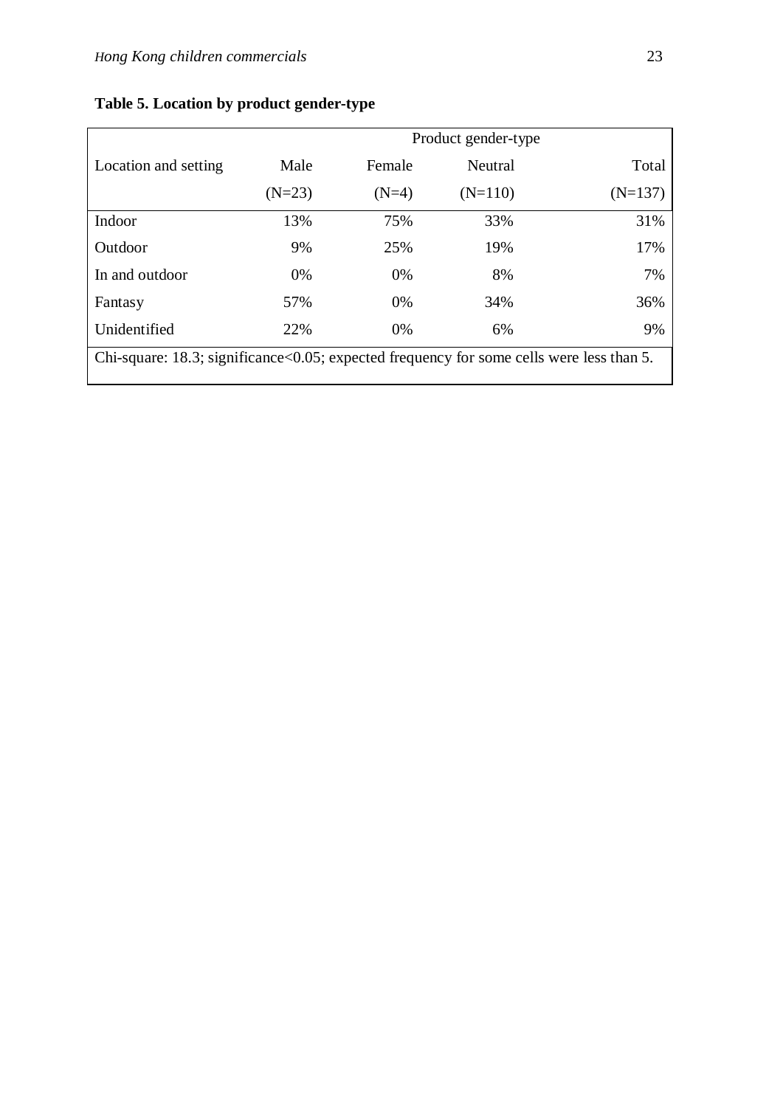|                                                                                          | Product gender-type |         |           |           |
|------------------------------------------------------------------------------------------|---------------------|---------|-----------|-----------|
| Location and setting                                                                     | Male                | Female  | Neutral   | Total     |
|                                                                                          | $(N=23)$            | $(N=4)$ | $(N=110)$ | $(N=137)$ |
| Indoor                                                                                   | 13%                 | 75%     | 33%       | 31%       |
| Outdoor                                                                                  | 9%                  | 25%     | 19%       | 17%       |
| In and outdoor                                                                           | 0%                  | 0%      | 8%        | 7%        |
| Fantasy                                                                                  | 57%                 | 0%      | 34%       | 36%       |
| Unidentified                                                                             | 22%                 | 0%      | 6%        | 9%        |
| Chi-square: 18.3; significance<0.05; expected frequency for some cells were less than 5. |                     |         |           |           |

# **Table 5. Location by product gender-type**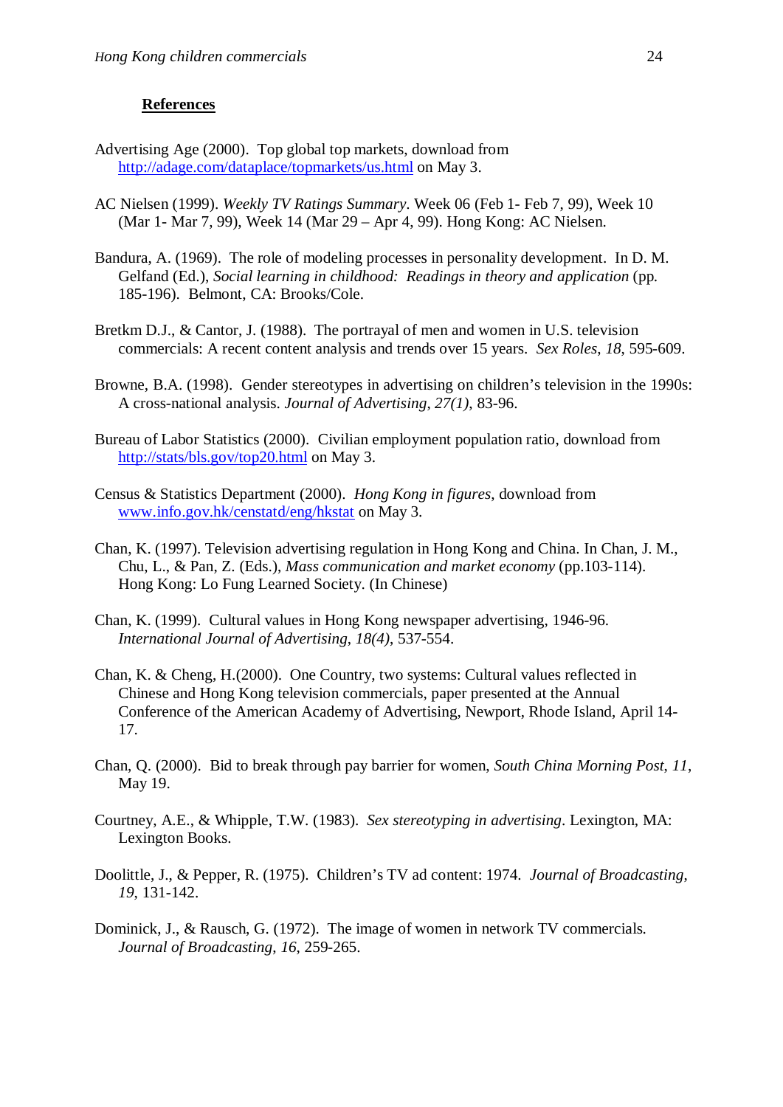# **References**

- Advertising Age (2000). Top global top markets, download from http://adage.com/dataplace/topmarkets/us.html on May 3.
- AC Nielsen (1999). *Weekly TV Ratings Summary*. Week 06 (Feb 1- Feb 7, 99), Week 10 (Mar 1- Mar 7, 99), Week 14 (Mar 29 – Apr 4, 99). Hong Kong: AC Nielsen.
- Bandura, A. (1969). The role of modeling processes in personality development. In D. M. Gelfand (Ed.), *Social learning in childhood: Readings in theory and application* (pp. 185-196). Belmont, CA: Brooks/Cole.
- Bretkm D.J., & Cantor, J. (1988). The portrayal of men and women in U.S. television commercials: A recent content analysis and trends over 15 years. *Sex Roles*, *18*, 595-609.
- Browne, B.A. (1998). Gender stereotypes in advertising on children's television in the 1990s: A cross-national analysis. *Journal of Advertising*, *27(1)*, 83-96.
- Bureau of Labor Statistics (2000). Civilian employment population ratio, download from http://stats/bls.gov/top20.html on May 3.
- Census & Statistics Department (2000). *Hong Kong in figures*, download from www.info.gov.hk/censtatd/eng/hkstat on May 3.
- Chan, K. (1997). Television advertising regulation in Hong Kong and China. In Chan, J. M., Chu, L., & Pan, Z. (Eds.), *Mass communication and market economy* (pp.103-114). Hong Kong: Lo Fung Learned Society. (In Chinese)
- Chan, K. (1999). Cultural values in Hong Kong newspaper advertising, 1946-96. *International Journal of Advertising*, *18(4)*, 537-554.
- Chan, K. & Cheng, H.(2000). One Country, two systems: Cultural values reflected in Chinese and Hong Kong television commercials, paper presented at the Annual Conference of the American Academy of Advertising, Newport, Rhode Island, April 14- 17.
- Chan, Q. (2000). Bid to break through pay barrier for women, *South China Morning Post*, *11*, May 19.
- Courtney, A.E., & Whipple, T.W. (1983). *Sex stereotyping in advertising*. Lexington, MA: Lexington Books.
- Doolittle, J., & Pepper, R. (1975). Children's TV ad content: 1974. *Journal of Broadcasting*, *19*, 131-142.
- Dominick, J., & Rausch, G. (1972). The image of women in network TV commercials*. Journal of Broadcasting*, *16*, 259-265.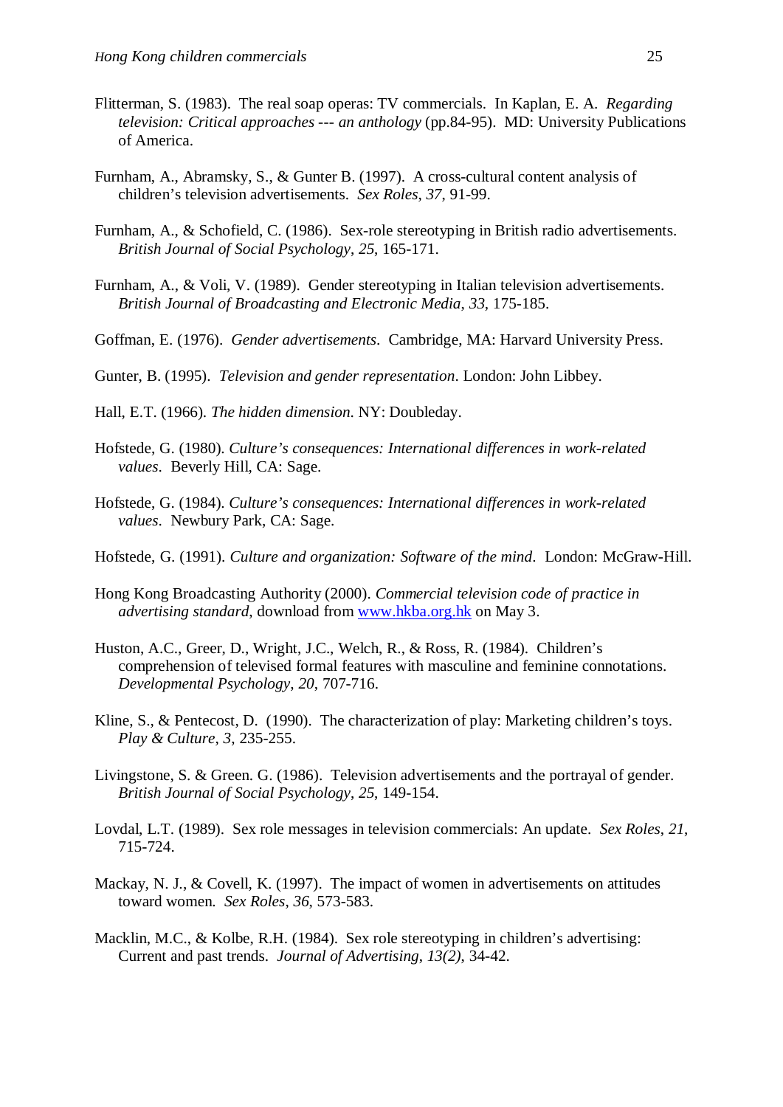- Flitterman, S. (1983). The real soap operas: TV commercials. In Kaplan, E. A. *Regarding television: Critical approaches --- an anthology* (pp.84-95). MD: University Publications of America.
- Furnham, A., Abramsky, S., & Gunter B. (1997). A cross-cultural content analysis of children's television advertisements. *Sex Roles*, *37*, 91-99.
- Furnham, A., & Schofield, C. (1986). Sex-role stereotyping in British radio advertisements. *British Journal of Social Psychology*, *25*, 165-171.
- Furnham, A., & Voli, V. (1989). Gender stereotyping in Italian television advertisements. *British Journal of Broadcasting and Electronic Media*, *33*, 175-185.
- Goffman, E. (1976). *Gender advertisements*. Cambridge, MA: Harvard University Press.
- Gunter, B. (1995). *Television and gender representation*. London: John Libbey.
- Hall, E.T. (1966). *The hidden dimension*. NY: Doubleday.
- Hofstede, G. (1980). *Culture's consequences: International differences in work-related values*. Beverly Hill, CA: Sage.
- Hofstede, G. (1984). *Culture's consequences: International differences in work-related values*. Newbury Park, CA: Sage.
- Hofstede, G. (1991). *Culture and organization: Software of the mind*. London: McGraw-Hill.
- Hong Kong Broadcasting Authority (2000). *Commercial television code of practice in advertising standard*, download from www.hkba.org.hk on May 3.
- Huston, A.C., Greer, D., Wright, J.C., Welch, R., & Ross, R. (1984). Children's comprehension of televised formal features with masculine and feminine connotations. *Developmental Psychology*, *20*, 707-716.
- Kline, S., & Pentecost, D. (1990). The characterization of play: Marketing children's toys. *Play & Culture*, *3*, 235-255.
- Livingstone, S. & Green. G. (1986). Television advertisements and the portrayal of gender. *British Journal of Social Psychology*, *25*, 149-154.
- Lovdal, L.T. (1989). Sex role messages in television commercials: An update. *Sex Roles*, *21*, 715-724.
- Mackay, N. J., & Covell, K. (1997). The impact of women in advertisements on attitudes toward women. *Sex Roles*, *36*, 573-583.
- Macklin, M.C., & Kolbe, R.H. (1984). Sex role stereotyping in children's advertising: Current and past trends. *Journal of Advertising*, *13(2)*, 34-42.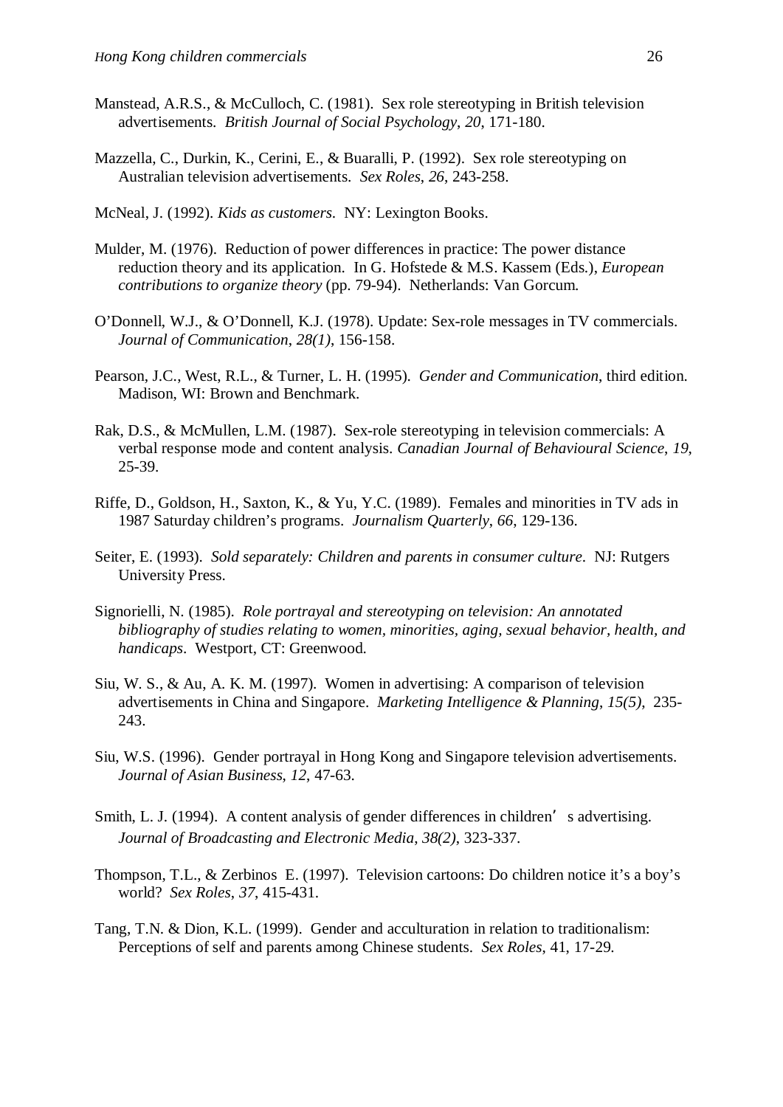- Manstead, A.R.S., & McCulloch, C. (1981). Sex role stereotyping in British television advertisements. *British Journal of Social Psychology*, *20*, 171-180.
- Mazzella, C., Durkin, K., Cerini, E., & Buaralli, P. (1992). Sex role stereotyping on Australian television advertisements. *Sex Roles*, *26*, 243-258.
- McNeal, J. (1992). *Kids as customers*. NY: Lexington Books.
- Mulder, M. (1976). Reduction of power differences in practice: The power distance reduction theory and its application. In G. Hofstede & M.S. Kassem (Eds.), *European contributions to organize theory* (pp. 79-94). Netherlands: Van Gorcum.
- O'Donnell, W.J., & O'Donnell, K.J. (1978). Update: Sex-role messages in TV commercials. *Journal of Communication*, *28(1)*, 156-158.
- Pearson, J.C., West, R.L., & Turner, L. H. (1995). *Gender and Communication*, third edition. Madison, WI: Brown and Benchmark.
- Rak, D.S., & McMullen, L.M. (1987). Sex-role stereotyping in television commercials: A verbal response mode and content analysis. *Canadian Journal of Behavioural Science*, *19*, 25-39.
- Riffe, D., Goldson, H., Saxton, K., & Yu, Y.C. (1989). Females and minorities in TV ads in 1987 Saturday children's programs. *Journalism Quarterly*, *66*, 129-136.
- Seiter, E. (1993). *Sold separately: Children and parents in consumer culture*. NJ: Rutgers University Press.
- Signorielli, N. (1985). *Role portrayal and stereotyping on television: An annotated bibliography of studies relating to women, minorities, aging, sexual behavior, health, and handicaps*. Westport, CT: Greenwood.
- Siu, W. S., & Au, A. K. M. (1997). Women in advertising: A comparison of television advertisements in China and Singapore. *Marketing Intelligence & Planning*, *15(5)*, 235- 243.
- Siu, W.S. (1996). Gender portrayal in Hong Kong and Singapore television advertisements. *Journal of Asian Business*, *12*, 47-63.
- Smith, L. J. (1994). A content analysis of gender differences in children's advertising. *Journal of Broadcasting and Electronic Media*, *38(2)*, 323-337.
- Thompson, T.L., & Zerbinos E. (1997). Television cartoons: Do children notice it's a boy's world? *Sex Roles*, *37*, 415-431.
- Tang, T.N. & Dion, K.L. (1999). Gender and acculturation in relation to traditionalism: Perceptions of self and parents among Chinese students. *Sex Roles*, 41, 17-29.